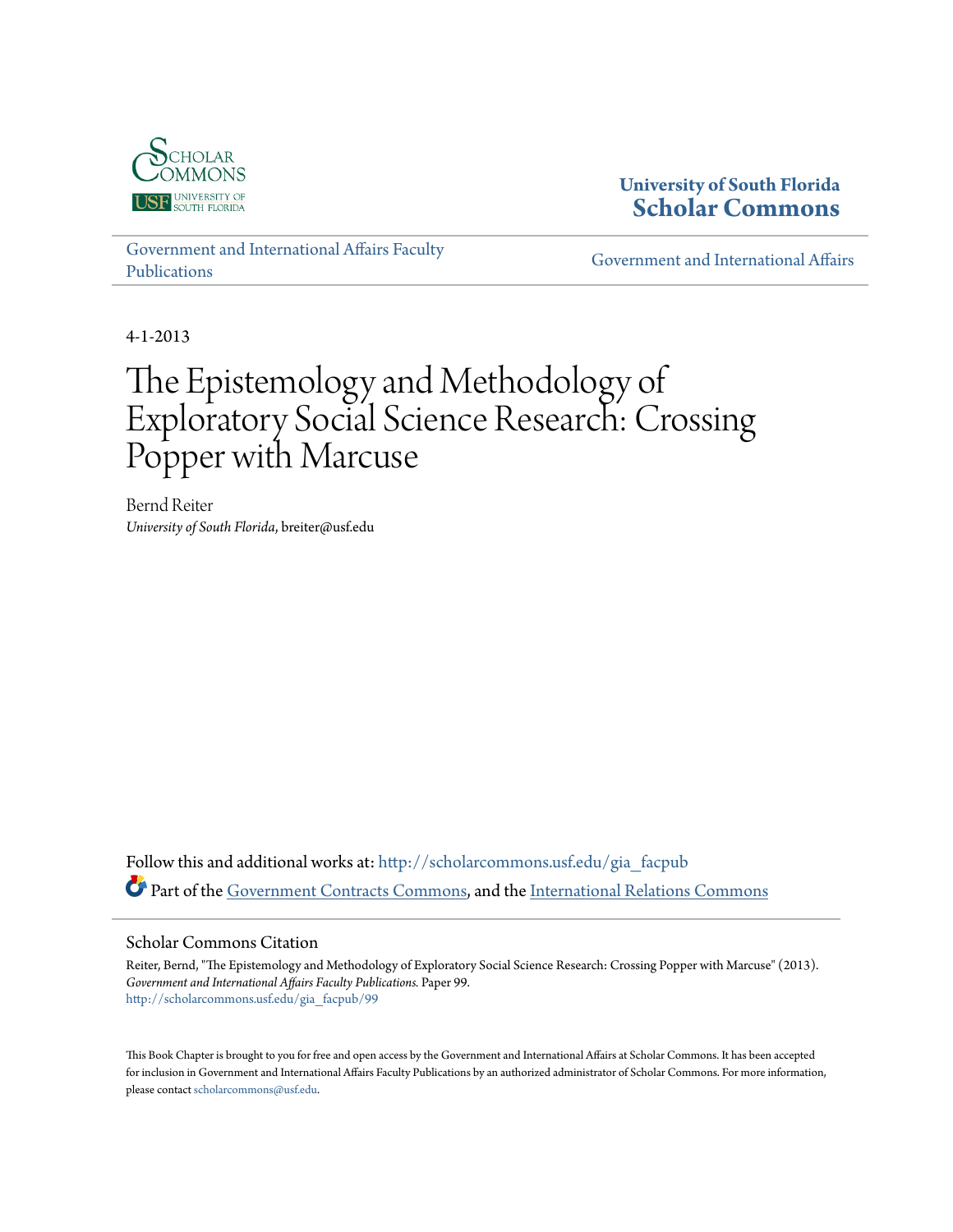

## **University of South Florida [Scholar Commons](http://scholarcommons.usf.edu?utm_source=scholarcommons.usf.edu%2Fgia_facpub%2F99&utm_medium=PDF&utm_campaign=PDFCoverPages)**

[Government and International Affairs Faculty](http://scholarcommons.usf.edu/gia_facpub?utm_source=scholarcommons.usf.edu%2Fgia_facpub%2F99&utm_medium=PDF&utm_campaign=PDFCoverPages) [Publications](http://scholarcommons.usf.edu/gia_facpub?utm_source=scholarcommons.usf.edu%2Fgia_facpub%2F99&utm_medium=PDF&utm_campaign=PDFCoverPages)

[Government and International Affairs](http://scholarcommons.usf.edu/gia?utm_source=scholarcommons.usf.edu%2Fgia_facpub%2F99&utm_medium=PDF&utm_campaign=PDFCoverPages)

4-1-2013

# The Epistemology and Methodology of Exploratory Social Science Research: Crossing Popper with Marcuse

Bernd Reiter *University of South Florida*, breiter@usf.edu

Follow this and additional works at: [http://scholarcommons.usf.edu/gia\\_facpub](http://scholarcommons.usf.edu/gia_facpub?utm_source=scholarcommons.usf.edu%2Fgia_facpub%2F99&utm_medium=PDF&utm_campaign=PDFCoverPages) Part of the [Government Contracts Commons](http://network.bepress.com/hgg/discipline/845?utm_source=scholarcommons.usf.edu%2Fgia_facpub%2F99&utm_medium=PDF&utm_campaign=PDFCoverPages), and the [International Relations Commons](http://network.bepress.com/hgg/discipline/389?utm_source=scholarcommons.usf.edu%2Fgia_facpub%2F99&utm_medium=PDF&utm_campaign=PDFCoverPages)

#### Scholar Commons Citation

Reiter, Bernd, "The Epistemology and Methodology of Exploratory Social Science Research: Crossing Popper with Marcuse" (2013). *Government and International Affairs Faculty Publications.* Paper 99. [http://scholarcommons.usf.edu/gia\\_facpub/99](http://scholarcommons.usf.edu/gia_facpub/99?utm_source=scholarcommons.usf.edu%2Fgia_facpub%2F99&utm_medium=PDF&utm_campaign=PDFCoverPages)

This Book Chapter is brought to you for free and open access by the Government and International Affairs at Scholar Commons. It has been accepted for inclusion in Government and International Affairs Faculty Publications by an authorized administrator of Scholar Commons. For more information, please contact [scholarcommons@usf.edu.](mailto:scholarcommons@usf.edu)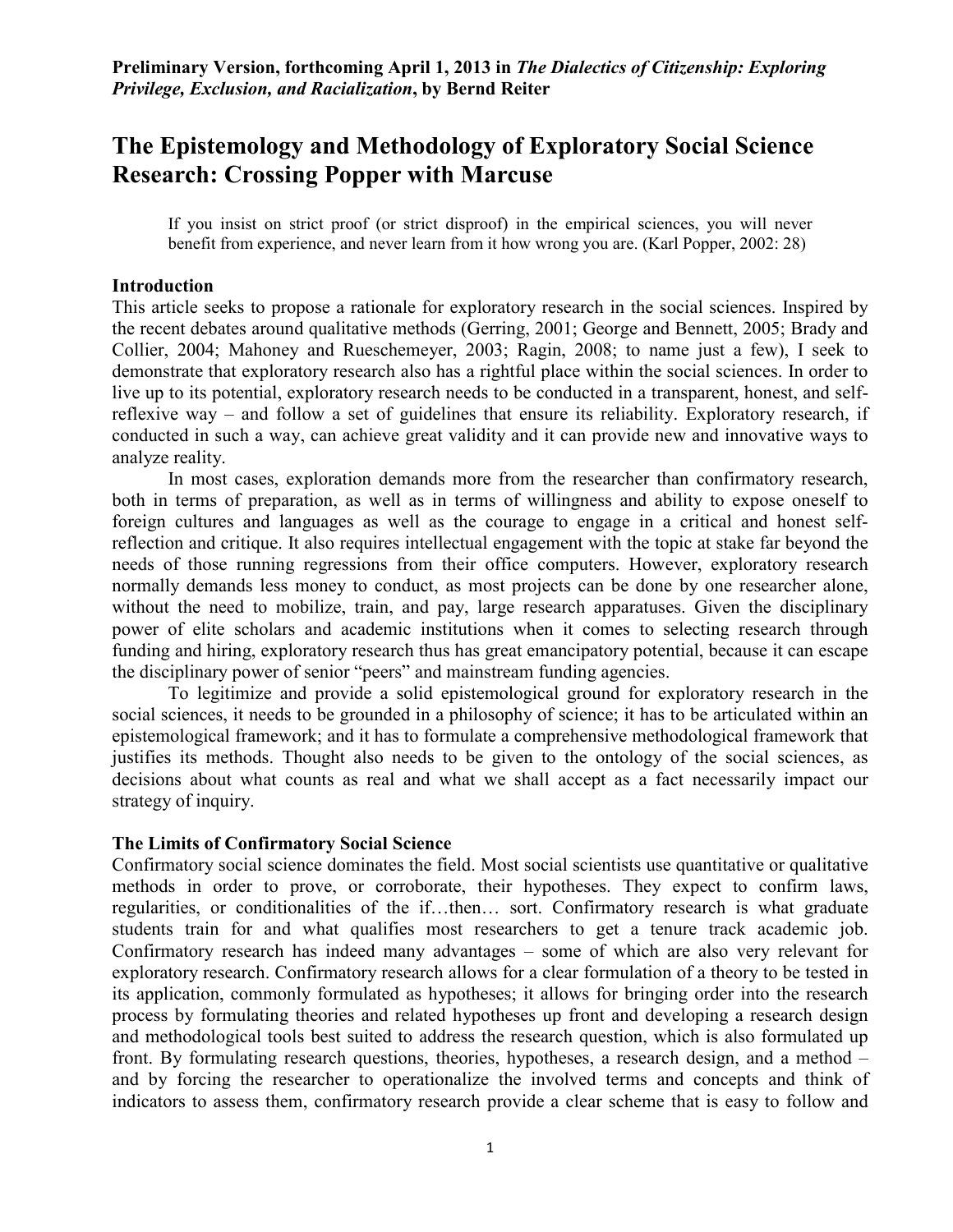# **The Epistemology and Methodology of Exploratory Social Science Research: Crossing Popper with Marcuse**

If you insist on strict proof (or strict disproof) in the empirical sciences, you will never benefit from experience, and never learn from it how wrong you are. (Karl Popper, 2002: 28)

## **Introduction**

This article seeks to propose a rationale for exploratory research in the social sciences. Inspired by the recent debates around qualitative methods (Gerring, 2001; George and Bennett, 2005; Brady and Collier, 2004; Mahoney and Rueschemeyer, 2003; Ragin, 2008; to name just a few), I seek to demonstrate that exploratory research also has a rightful place within the social sciences. In order to live up to its potential, exploratory research needs to be conducted in a transparent, honest, and selfreflexive way – and follow a set of guidelines that ensure its reliability. Exploratory research, if conducted in such a way, can achieve great validity and it can provide new and innovative ways to analyze reality.

 In most cases, exploration demands more from the researcher than confirmatory research, both in terms of preparation, as well as in terms of willingness and ability to expose oneself to foreign cultures and languages as well as the courage to engage in a critical and honest selfreflection and critique. It also requires intellectual engagement with the topic at stake far beyond the needs of those running regressions from their office computers. However, exploratory research normally demands less money to conduct, as most projects can be done by one researcher alone, without the need to mobilize, train, and pay, large research apparatuses. Given the disciplinary power of elite scholars and academic institutions when it comes to selecting research through funding and hiring, exploratory research thus has great emancipatory potential, because it can escape the disciplinary power of senior "peers" and mainstream funding agencies.

 To legitimize and provide a solid epistemological ground for exploratory research in the social sciences, it needs to be grounded in a philosophy of science; it has to be articulated within an epistemological framework; and it has to formulate a comprehensive methodological framework that justifies its methods. Thought also needs to be given to the ontology of the social sciences, as decisions about what counts as real and what we shall accept as a fact necessarily impact our strategy of inquiry.

#### **The Limits of Confirmatory Social Science**

Confirmatory social science dominates the field. Most social scientists use quantitative or qualitative methods in order to prove, or corroborate, their hypotheses. They expect to confirm laws, regularities, or conditionalities of the if…then… sort. Confirmatory research is what graduate students train for and what qualifies most researchers to get a tenure track academic job. Confirmatory research has indeed many advantages – some of which are also very relevant for exploratory research. Confirmatory research allows for a clear formulation of a theory to be tested in its application, commonly formulated as hypotheses; it allows for bringing order into the research process by formulating theories and related hypotheses up front and developing a research design and methodological tools best suited to address the research question, which is also formulated up front. By formulating research questions, theories, hypotheses, a research design, and a method – and by forcing the researcher to operationalize the involved terms and concepts and think of indicators to assess them, confirmatory research provide a clear scheme that is easy to follow and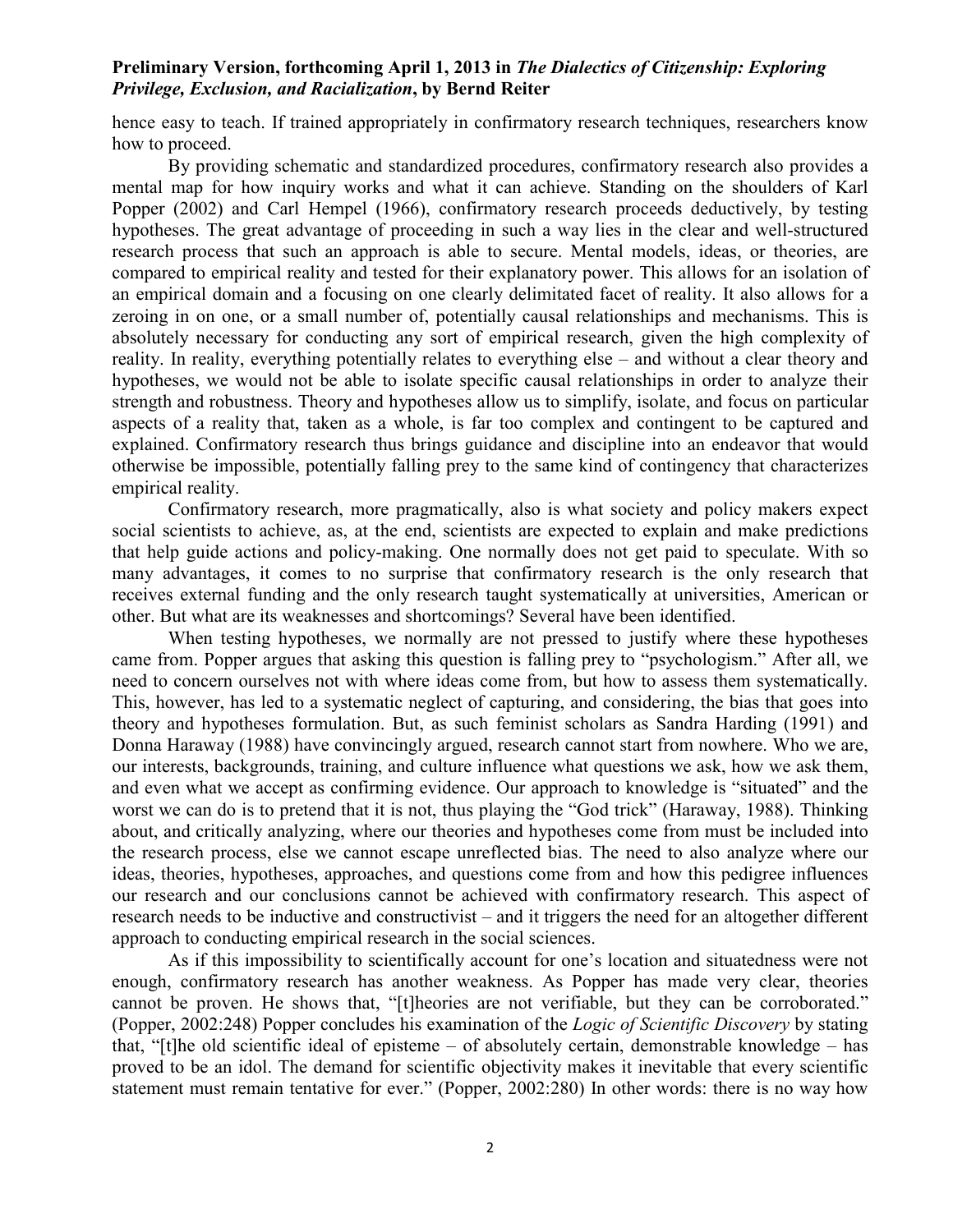hence easy to teach. If trained appropriately in confirmatory research techniques, researchers know how to proceed.

 By providing schematic and standardized procedures, confirmatory research also provides a mental map for how inquiry works and what it can achieve. Standing on the shoulders of Karl Popper (2002) and Carl Hempel (1966), confirmatory research proceeds deductively, by testing hypotheses. The great advantage of proceeding in such a way lies in the clear and well-structured research process that such an approach is able to secure. Mental models, ideas, or theories, are compared to empirical reality and tested for their explanatory power. This allows for an isolation of an empirical domain and a focusing on one clearly delimitated facet of reality. It also allows for a zeroing in on one, or a small number of, potentially causal relationships and mechanisms. This is absolutely necessary for conducting any sort of empirical research, given the high complexity of reality. In reality, everything potentially relates to everything else – and without a clear theory and hypotheses, we would not be able to isolate specific causal relationships in order to analyze their strength and robustness. Theory and hypotheses allow us to simplify, isolate, and focus on particular aspects of a reality that, taken as a whole, is far too complex and contingent to be captured and explained. Confirmatory research thus brings guidance and discipline into an endeavor that would otherwise be impossible, potentially falling prey to the same kind of contingency that characterizes empirical reality.

 Confirmatory research, more pragmatically, also is what society and policy makers expect social scientists to achieve, as, at the end, scientists are expected to explain and make predictions that help guide actions and policy-making. One normally does not get paid to speculate. With so many advantages, it comes to no surprise that confirmatory research is the only research that receives external funding and the only research taught systematically at universities, American or other. But what are its weaknesses and shortcomings? Several have been identified.

 When testing hypotheses, we normally are not pressed to justify where these hypotheses came from. Popper argues that asking this question is falling prey to "psychologism." After all, we need to concern ourselves not with where ideas come from, but how to assess them systematically. This, however, has led to a systematic neglect of capturing, and considering, the bias that goes into theory and hypotheses formulation. But, as such feminist scholars as Sandra Harding (1991) and Donna Haraway (1988) have convincingly argued, research cannot start from nowhere. Who we are, our interests, backgrounds, training, and culture influence what questions we ask, how we ask them, and even what we accept as confirming evidence. Our approach to knowledge is "situated" and the worst we can do is to pretend that it is not, thus playing the "God trick" (Haraway, 1988). Thinking about, and critically analyzing, where our theories and hypotheses come from must be included into the research process, else we cannot escape unreflected bias. The need to also analyze where our ideas, theories, hypotheses, approaches, and questions come from and how this pedigree influences our research and our conclusions cannot be achieved with confirmatory research. This aspect of research needs to be inductive and constructivist – and it triggers the need for an altogether different approach to conducting empirical research in the social sciences.

 As if this impossibility to scientifically account for one's location and situatedness were not enough, confirmatory research has another weakness. As Popper has made very clear, theories cannot be proven. He shows that, "[t]heories are not verifiable, but they can be corroborated." (Popper, 2002:248) Popper concludes his examination of the *Logic of Scientific Discovery* by stating that, "[t]he old scientific ideal of episteme – of absolutely certain, demonstrable knowledge – has proved to be an idol. The demand for scientific objectivity makes it inevitable that every scientific statement must remain tentative for ever." (Popper, 2002:280) In other words: there is no way how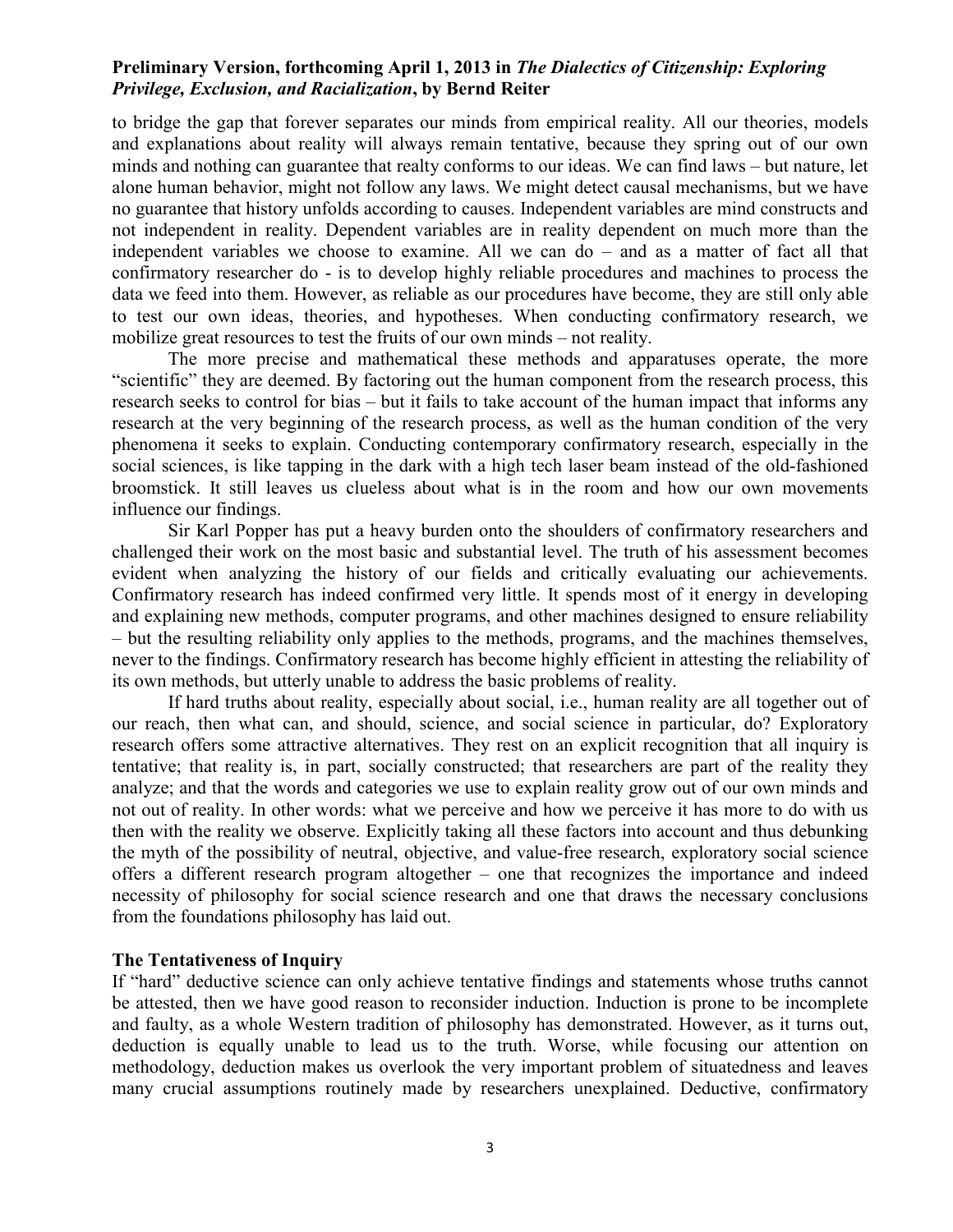to bridge the gap that forever separates our minds from empirical reality. All our theories, models and explanations about reality will always remain tentative, because they spring out of our own minds and nothing can guarantee that realty conforms to our ideas. We can find laws – but nature, let alone human behavior, might not follow any laws. We might detect causal mechanisms, but we have no guarantee that history unfolds according to causes. Independent variables are mind constructs and not independent in reality. Dependent variables are in reality dependent on much more than the independent variables we choose to examine. All we can do – and as a matter of fact all that confirmatory researcher do - is to develop highly reliable procedures and machines to process the data we feed into them. However, as reliable as our procedures have become, they are still only able to test our own ideas, theories, and hypotheses. When conducting confirmatory research, we mobilize great resources to test the fruits of our own minds – not reality.

 The more precise and mathematical these methods and apparatuses operate, the more "scientific" they are deemed. By factoring out the human component from the research process, this research seeks to control for bias – but it fails to take account of the human impact that informs any research at the very beginning of the research process, as well as the human condition of the very phenomena it seeks to explain. Conducting contemporary confirmatory research, especially in the social sciences, is like tapping in the dark with a high tech laser beam instead of the old-fashioned broomstick. It still leaves us clueless about what is in the room and how our own movements influence our findings.

 Sir Karl Popper has put a heavy burden onto the shoulders of confirmatory researchers and challenged their work on the most basic and substantial level. The truth of his assessment becomes evident when analyzing the history of our fields and critically evaluating our achievements. Confirmatory research has indeed confirmed very little. It spends most of it energy in developing and explaining new methods, computer programs, and other machines designed to ensure reliability – but the resulting reliability only applies to the methods, programs, and the machines themselves, never to the findings. Confirmatory research has become highly efficient in attesting the reliability of its own methods, but utterly unable to address the basic problems of reality.

 If hard truths about reality, especially about social, i.e., human reality are all together out of our reach, then what can, and should, science, and social science in particular, do? Exploratory research offers some attractive alternatives. They rest on an explicit recognition that all inquiry is tentative; that reality is, in part, socially constructed; that researchers are part of the reality they analyze; and that the words and categories we use to explain reality grow out of our own minds and not out of reality. In other words: what we perceive and how we perceive it has more to do with us then with the reality we observe. Explicitly taking all these factors into account and thus debunking the myth of the possibility of neutral, objective, and value-free research, exploratory social science offers a different research program altogether – one that recognizes the importance and indeed necessity of philosophy for social science research and one that draws the necessary conclusions from the foundations philosophy has laid out.

## **The Tentativeness of Inquiry**

If "hard" deductive science can only achieve tentative findings and statements whose truths cannot be attested, then we have good reason to reconsider induction. Induction is prone to be incomplete and faulty, as a whole Western tradition of philosophy has demonstrated. However, as it turns out, deduction is equally unable to lead us to the truth. Worse, while focusing our attention on methodology, deduction makes us overlook the very important problem of situatedness and leaves many crucial assumptions routinely made by researchers unexplained. Deductive, confirmatory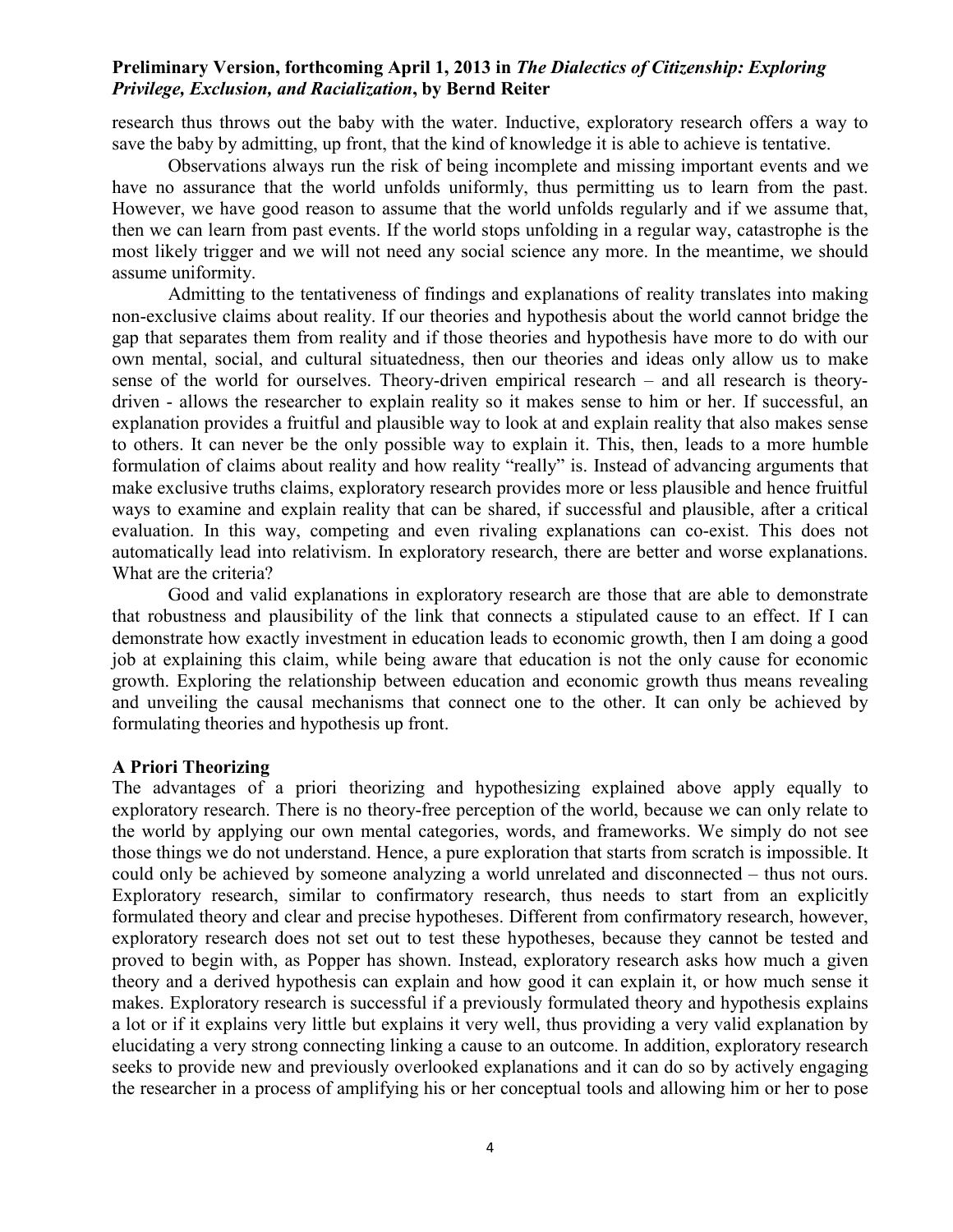research thus throws out the baby with the water. Inductive, exploratory research offers a way to save the baby by admitting, up front, that the kind of knowledge it is able to achieve is tentative.

 Observations always run the risk of being incomplete and missing important events and we have no assurance that the world unfolds uniformly, thus permitting us to learn from the past. However, we have good reason to assume that the world unfolds regularly and if we assume that, then we can learn from past events. If the world stops unfolding in a regular way, catastrophe is the most likely trigger and we will not need any social science any more. In the meantime, we should assume uniformity.

 Admitting to the tentativeness of findings and explanations of reality translates into making non-exclusive claims about reality. If our theories and hypothesis about the world cannot bridge the gap that separates them from reality and if those theories and hypothesis have more to do with our own mental, social, and cultural situatedness, then our theories and ideas only allow us to make sense of the world for ourselves. Theory-driven empirical research – and all research is theorydriven - allows the researcher to explain reality so it makes sense to him or her. If successful, an explanation provides a fruitful and plausible way to look at and explain reality that also makes sense to others. It can never be the only possible way to explain it. This, then, leads to a more humble formulation of claims about reality and how reality "really" is. Instead of advancing arguments that make exclusive truths claims, exploratory research provides more or less plausible and hence fruitful ways to examine and explain reality that can be shared, if successful and plausible, after a critical evaluation. In this way, competing and even rivaling explanations can co-exist. This does not automatically lead into relativism. In exploratory research, there are better and worse explanations. What are the criteria?

 Good and valid explanations in exploratory research are those that are able to demonstrate that robustness and plausibility of the link that connects a stipulated cause to an effect. If I can demonstrate how exactly investment in education leads to economic growth, then I am doing a good job at explaining this claim, while being aware that education is not the only cause for economic growth. Exploring the relationship between education and economic growth thus means revealing and unveiling the causal mechanisms that connect one to the other. It can only be achieved by formulating theories and hypothesis up front.

## **A Priori Theorizing**

The advantages of a priori theorizing and hypothesizing explained above apply equally to exploratory research. There is no theory-free perception of the world, because we can only relate to the world by applying our own mental categories, words, and frameworks. We simply do not see those things we do not understand. Hence, a pure exploration that starts from scratch is impossible. It could only be achieved by someone analyzing a world unrelated and disconnected – thus not ours. Exploratory research, similar to confirmatory research, thus needs to start from an explicitly formulated theory and clear and precise hypotheses. Different from confirmatory research, however, exploratory research does not set out to test these hypotheses, because they cannot be tested and proved to begin with, as Popper has shown. Instead, exploratory research asks how much a given theory and a derived hypothesis can explain and how good it can explain it, or how much sense it makes. Exploratory research is successful if a previously formulated theory and hypothesis explains a lot or if it explains very little but explains it very well, thus providing a very valid explanation by elucidating a very strong connecting linking a cause to an outcome. In addition, exploratory research seeks to provide new and previously overlooked explanations and it can do so by actively engaging the researcher in a process of amplifying his or her conceptual tools and allowing him or her to pose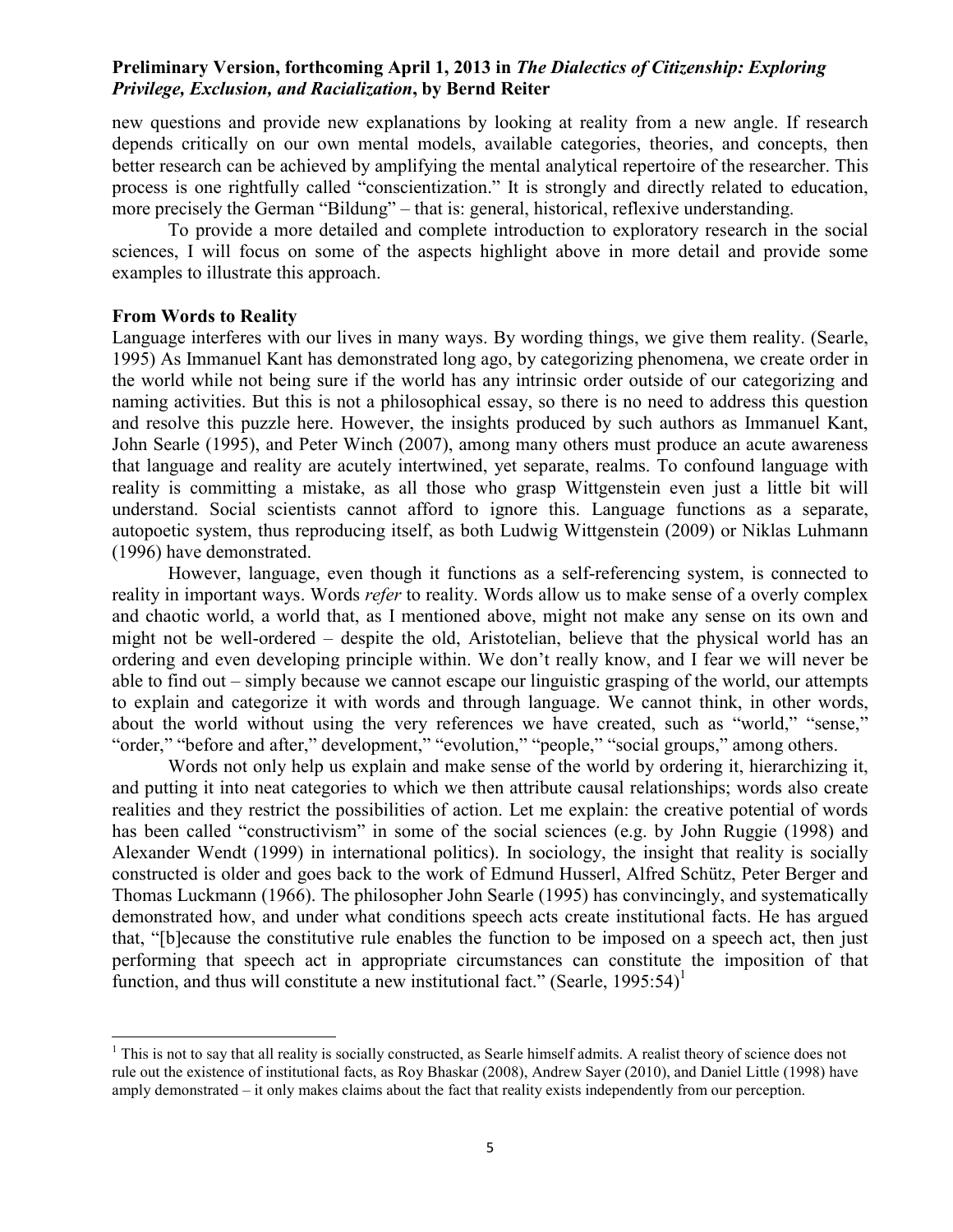new questions and provide new explanations by looking at reality from a new angle. If research depends critically on our own mental models, available categories, theories, and concepts, then better research can be achieved by amplifying the mental analytical repertoire of the researcher. This process is one rightfully called "conscientization." It is strongly and directly related to education, more precisely the German "Bildung" – that is: general, historical, reflexive understanding.

 To provide a more detailed and complete introduction to exploratory research in the social sciences, I will focus on some of the aspects highlight above in more detail and provide some examples to illustrate this approach.

#### **From Words to Reality**

 $\overline{a}$ 

Language interferes with our lives in many ways. By wording things, we give them reality. (Searle, 1995) As Immanuel Kant has demonstrated long ago, by categorizing phenomena, we create order in the world while not being sure if the world has any intrinsic order outside of our categorizing and naming activities. But this is not a philosophical essay, so there is no need to address this question and resolve this puzzle here. However, the insights produced by such authors as Immanuel Kant, John Searle (1995), and Peter Winch (2007), among many others must produce an acute awareness that language and reality are acutely intertwined, yet separate, realms. To confound language with reality is committing a mistake, as all those who grasp Wittgenstein even just a little bit will understand. Social scientists cannot afford to ignore this. Language functions as a separate, autopoetic system, thus reproducing itself, as both Ludwig Wittgenstein (2009) or Niklas Luhmann (1996) have demonstrated.

However, language, even though it functions as a self-referencing system, is connected to reality in important ways. Words *refer* to reality. Words allow us to make sense of a overly complex and chaotic world, a world that, as I mentioned above, might not make any sense on its own and might not be well-ordered – despite the old, Aristotelian, believe that the physical world has an ordering and even developing principle within. We don't really know, and I fear we will never be able to find out – simply because we cannot escape our linguistic grasping of the world, our attempts to explain and categorize it with words and through language. We cannot think, in other words, about the world without using the very references we have created, such as "world," "sense," "order," "before and after," development," "evolution," "people," "social groups," among others.

 Words not only help us explain and make sense of the world by ordering it, hierarchizing it, and putting it into neat categories to which we then attribute causal relationships; words also create realities and they restrict the possibilities of action. Let me explain: the creative potential of words has been called "constructivism" in some of the social sciences (e.g. by John Ruggie (1998) and Alexander Wendt (1999) in international politics). In sociology, the insight that reality is socially constructed is older and goes back to the work of Edmund Husserl, Alfred Schütz, Peter Berger and Thomas Luckmann (1966). The philosopher John Searle (1995) has convincingly, and systematically demonstrated how, and under what conditions speech acts create institutional facts. He has argued that, "[b]ecause the constitutive rule enables the function to be imposed on a speech act, then just performing that speech act in appropriate circumstances can constitute the imposition of that function, and thus will constitute a new institutional fact." (Searle,  $1995:54$ )<sup>1</sup>

<sup>&</sup>lt;sup>1</sup> This is not to say that all reality is socially constructed, as Searle himself admits. A realist theory of science does not rule out the existence of institutional facts, as Roy Bhaskar (2008), Andrew Sayer (2010), and Daniel Little (1998) have amply demonstrated – it only makes claims about the fact that reality exists independently from our perception.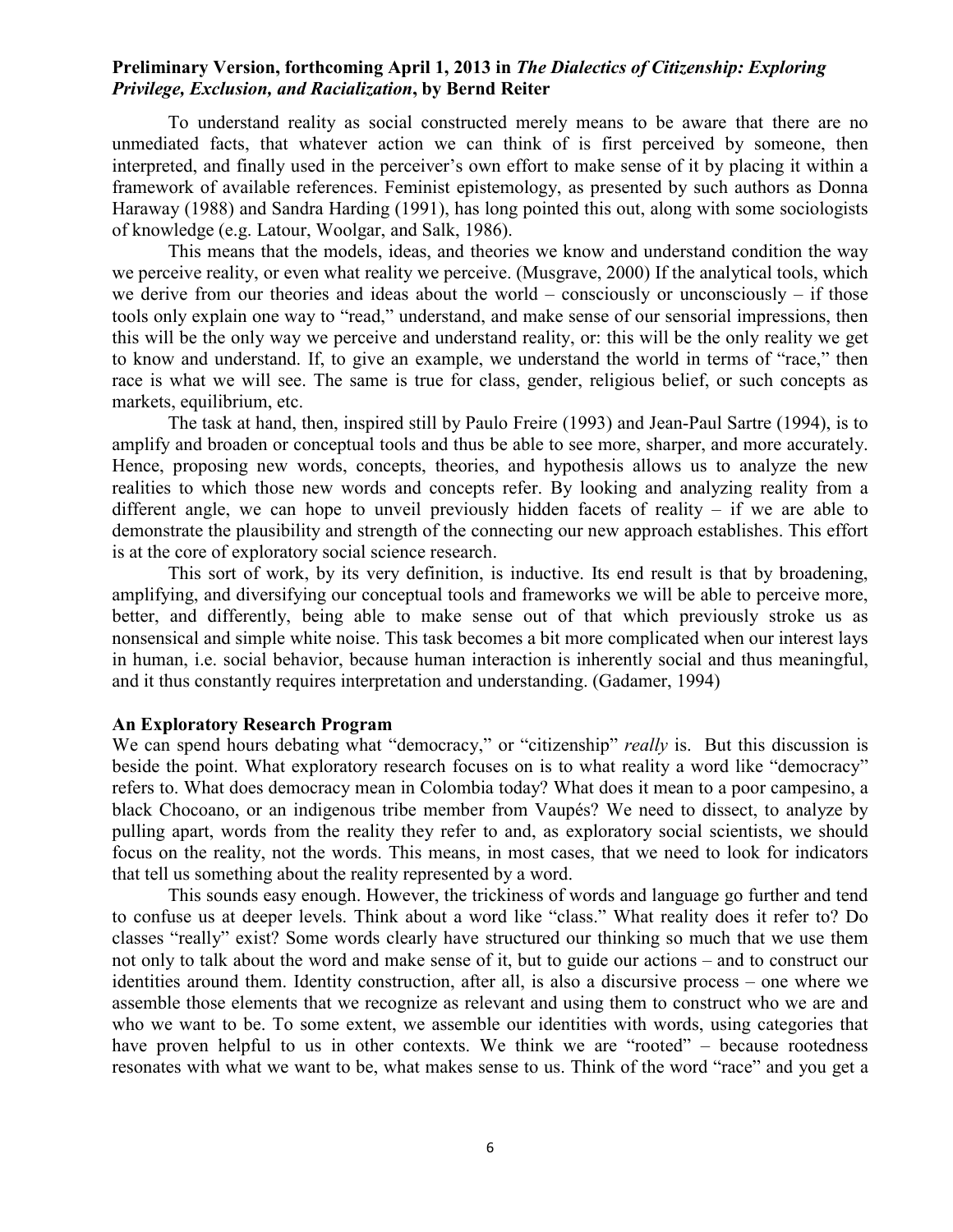To understand reality as social constructed merely means to be aware that there are no unmediated facts, that whatever action we can think of is first perceived by someone, then interpreted, and finally used in the perceiver's own effort to make sense of it by placing it within a framework of available references. Feminist epistemology, as presented by such authors as Donna Haraway (1988) and Sandra Harding (1991), has long pointed this out, along with some sociologists of knowledge (e.g. Latour, Woolgar, and Salk, 1986).

 This means that the models, ideas, and theories we know and understand condition the way we perceive reality, or even what reality we perceive. (Musgrave, 2000) If the analytical tools, which we derive from our theories and ideas about the world – consciously or unconsciously – if those tools only explain one way to "read," understand, and make sense of our sensorial impressions, then this will be the only way we perceive and understand reality, or: this will be the only reality we get to know and understand. If, to give an example, we understand the world in terms of "race," then race is what we will see. The same is true for class, gender, religious belief, or such concepts as markets, equilibrium, etc.

 The task at hand, then, inspired still by Paulo Freire (1993) and Jean-Paul Sartre (1994), is to amplify and broaden or conceptual tools and thus be able to see more, sharper, and more accurately. Hence, proposing new words, concepts, theories, and hypothesis allows us to analyze the new realities to which those new words and concepts refer. By looking and analyzing reality from a different angle, we can hope to unveil previously hidden facets of reality – if we are able to demonstrate the plausibility and strength of the connecting our new approach establishes. This effort is at the core of exploratory social science research.

 This sort of work, by its very definition, is inductive. Its end result is that by broadening, amplifying, and diversifying our conceptual tools and frameworks we will be able to perceive more, better, and differently, being able to make sense out of that which previously stroke us as nonsensical and simple white noise. This task becomes a bit more complicated when our interest lays in human, i.e. social behavior, because human interaction is inherently social and thus meaningful, and it thus constantly requires interpretation and understanding. (Gadamer, 1994)

#### **An Exploratory Research Program**

We can spend hours debating what "democracy," or "citizenship" *really* is. But this discussion is beside the point. What exploratory research focuses on is to what reality a word like "democracy" refers to. What does democracy mean in Colombia today? What does it mean to a poor campesino, a black Chocoano, or an indigenous tribe member from Vaupés? We need to dissect, to analyze by pulling apart, words from the reality they refer to and, as exploratory social scientists, we should focus on the reality, not the words. This means, in most cases, that we need to look for indicators that tell us something about the reality represented by a word.

This sounds easy enough. However, the trickiness of words and language go further and tend to confuse us at deeper levels. Think about a word like "class." What reality does it refer to? Do classes "really" exist? Some words clearly have structured our thinking so much that we use them not only to talk about the word and make sense of it, but to guide our actions – and to construct our identities around them. Identity construction, after all, is also a discursive process – one where we assemble those elements that we recognize as relevant and using them to construct who we are and who we want to be. To some extent, we assemble our identities with words, using categories that have proven helpful to us in other contexts. We think we are "rooted" – because rootedness resonates with what we want to be, what makes sense to us. Think of the word "race" and you get a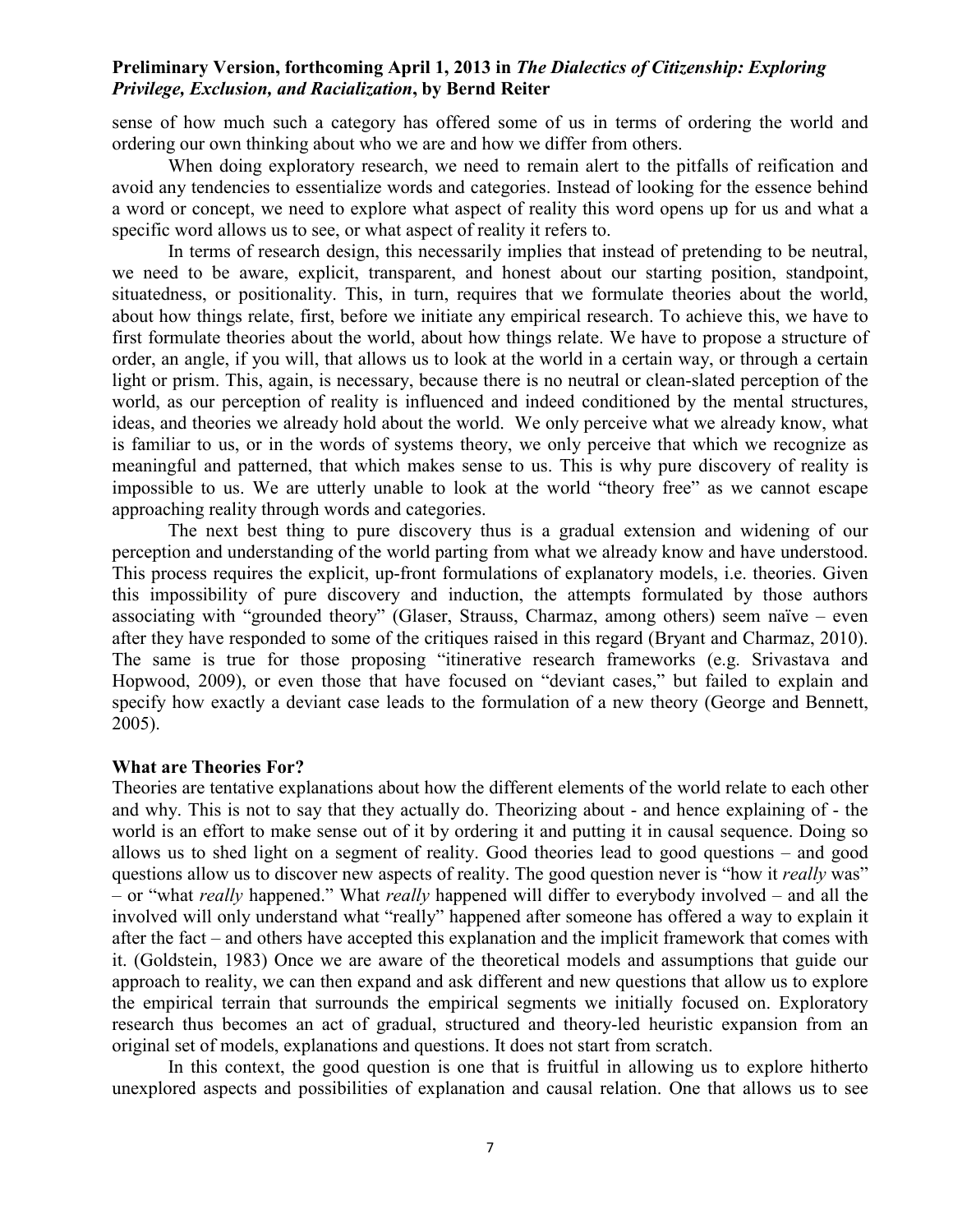sense of how much such a category has offered some of us in terms of ordering the world and ordering our own thinking about who we are and how we differ from others.

When doing exploratory research, we need to remain alert to the pitfalls of reification and avoid any tendencies to essentialize words and categories. Instead of looking for the essence behind a word or concept, we need to explore what aspect of reality this word opens up for us and what a specific word allows us to see, or what aspect of reality it refers to.

In terms of research design, this necessarily implies that instead of pretending to be neutral, we need to be aware, explicit, transparent, and honest about our starting position, standpoint, situatedness, or positionality. This, in turn, requires that we formulate theories about the world, about how things relate, first, before we initiate any empirical research. To achieve this, we have to first formulate theories about the world, about how things relate. We have to propose a structure of order, an angle, if you will, that allows us to look at the world in a certain way, or through a certain light or prism. This, again, is necessary, because there is no neutral or clean-slated perception of the world, as our perception of reality is influenced and indeed conditioned by the mental structures, ideas, and theories we already hold about the world. We only perceive what we already know, what is familiar to us, or in the words of systems theory, we only perceive that which we recognize as meaningful and patterned, that which makes sense to us. This is why pure discovery of reality is impossible to us. We are utterly unable to look at the world "theory free" as we cannot escape approaching reality through words and categories.

The next best thing to pure discovery thus is a gradual extension and widening of our perception and understanding of the world parting from what we already know and have understood. This process requires the explicit, up-front formulations of explanatory models, i.e. theories. Given this impossibility of pure discovery and induction, the attempts formulated by those authors associating with "grounded theory" (Glaser, Strauss, Charmaz, among others) seem naïve – even after they have responded to some of the critiques raised in this regard (Bryant and Charmaz, 2010). The same is true for those proposing "itinerative research frameworks (e.g. Srivastava and Hopwood, 2009), or even those that have focused on "deviant cases," but failed to explain and specify how exactly a deviant case leads to the formulation of a new theory (George and Bennett, 2005).

#### **What are Theories For?**

Theories are tentative explanations about how the different elements of the world relate to each other and why. This is not to say that they actually do. Theorizing about - and hence explaining of - the world is an effort to make sense out of it by ordering it and putting it in causal sequence. Doing so allows us to shed light on a segment of reality. Good theories lead to good questions – and good questions allow us to discover new aspects of reality. The good question never is "how it *really* was" – or "what *really* happened." What *really* happened will differ to everybody involved – and all the involved will only understand what "really" happened after someone has offered a way to explain it after the fact – and others have accepted this explanation and the implicit framework that comes with it. (Goldstein, 1983) Once we are aware of the theoretical models and assumptions that guide our approach to reality, we can then expand and ask different and new questions that allow us to explore the empirical terrain that surrounds the empirical segments we initially focused on. Exploratory research thus becomes an act of gradual, structured and theory-led heuristic expansion from an original set of models, explanations and questions. It does not start from scratch.

In this context, the good question is one that is fruitful in allowing us to explore hitherto unexplored aspects and possibilities of explanation and causal relation. One that allows us to see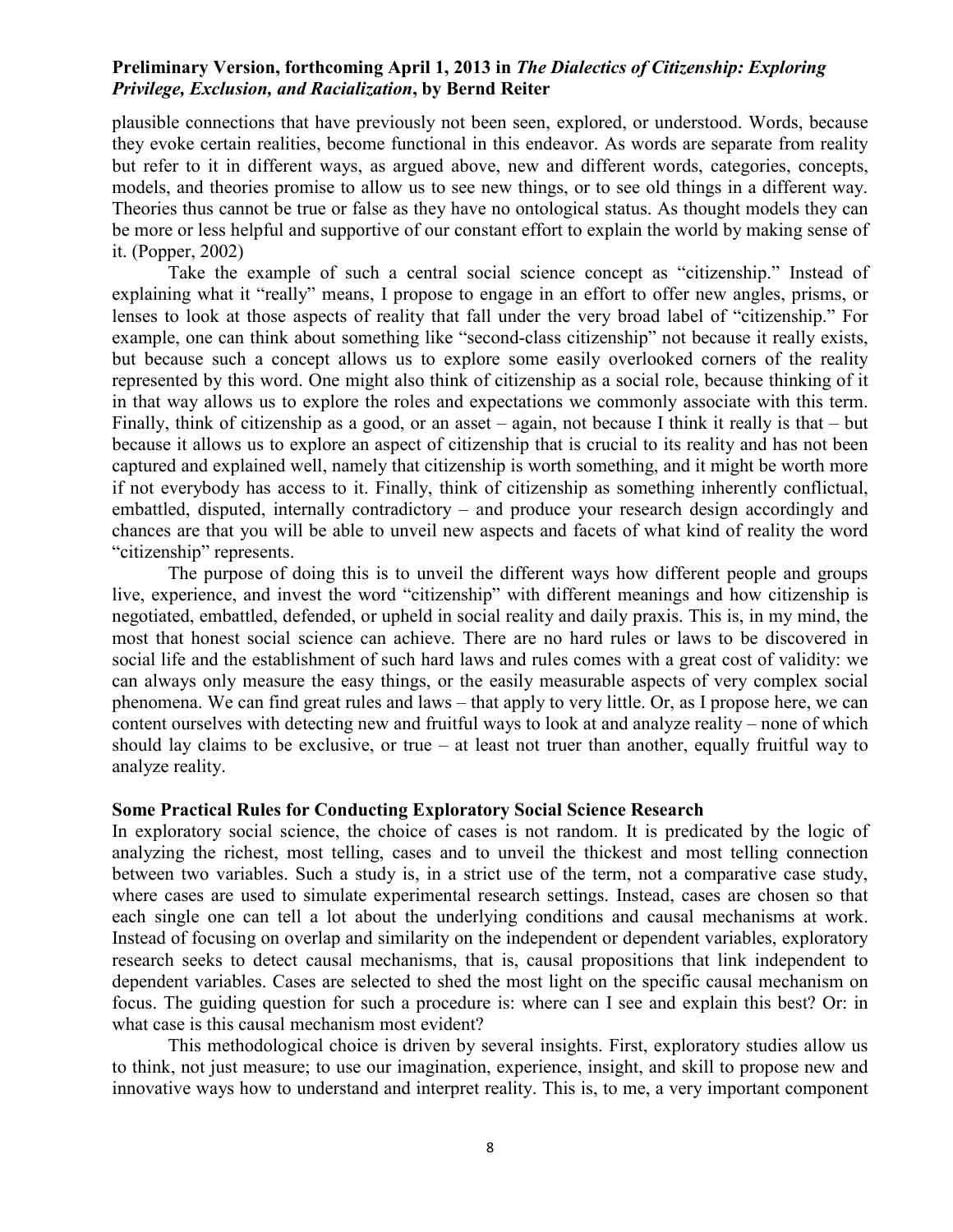plausible connections that have previously not been seen, explored, or understood. Words, because they evoke certain realities, become functional in this endeavor. As words are separate from reality but refer to it in different ways, as argued above, new and different words, categories, concepts, models, and theories promise to allow us to see new things, or to see old things in a different way. Theories thus cannot be true or false as they have no ontological status. As thought models they can be more or less helpful and supportive of our constant effort to explain the world by making sense of it. (Popper, 2002)

 Take the example of such a central social science concept as "citizenship." Instead of explaining what it "really" means, I propose to engage in an effort to offer new angles, prisms, or lenses to look at those aspects of reality that fall under the very broad label of "citizenship." For example, one can think about something like "second-class citizenship" not because it really exists, but because such a concept allows us to explore some easily overlooked corners of the reality represented by this word. One might also think of citizenship as a social role, because thinking of it in that way allows us to explore the roles and expectations we commonly associate with this term. Finally, think of citizenship as a good, or an asset – again, not because I think it really is that – but because it allows us to explore an aspect of citizenship that is crucial to its reality and has not been captured and explained well, namely that citizenship is worth something, and it might be worth more if not everybody has access to it. Finally, think of citizenship as something inherently conflictual, embattled, disputed, internally contradictory – and produce your research design accordingly and chances are that you will be able to unveil new aspects and facets of what kind of reality the word "citizenship" represents.

The purpose of doing this is to unveil the different ways how different people and groups live, experience, and invest the word "citizenship" with different meanings and how citizenship is negotiated, embattled, defended, or upheld in social reality and daily praxis. This is, in my mind, the most that honest social science can achieve. There are no hard rules or laws to be discovered in social life and the establishment of such hard laws and rules comes with a great cost of validity: we can always only measure the easy things, or the easily measurable aspects of very complex social phenomena. We can find great rules and laws – that apply to very little. Or, as I propose here, we can content ourselves with detecting new and fruitful ways to look at and analyze reality – none of which should lay claims to be exclusive, or true – at least not truer than another, equally fruitful way to analyze reality.

#### **Some Practical Rules for Conducting Exploratory Social Science Research**

In exploratory social science, the choice of cases is not random. It is predicated by the logic of analyzing the richest, most telling, cases and to unveil the thickest and most telling connection between two variables. Such a study is, in a strict use of the term, not a comparative case study, where cases are used to simulate experimental research settings. Instead, cases are chosen so that each single one can tell a lot about the underlying conditions and causal mechanisms at work. Instead of focusing on overlap and similarity on the independent or dependent variables, exploratory research seeks to detect causal mechanisms, that is, causal propositions that link independent to dependent variables. Cases are selected to shed the most light on the specific causal mechanism on focus. The guiding question for such a procedure is: where can I see and explain this best? Or: in what case is this causal mechanism most evident?

This methodological choice is driven by several insights. First, exploratory studies allow us to think, not just measure; to use our imagination, experience, insight, and skill to propose new and innovative ways how to understand and interpret reality. This is, to me, a very important component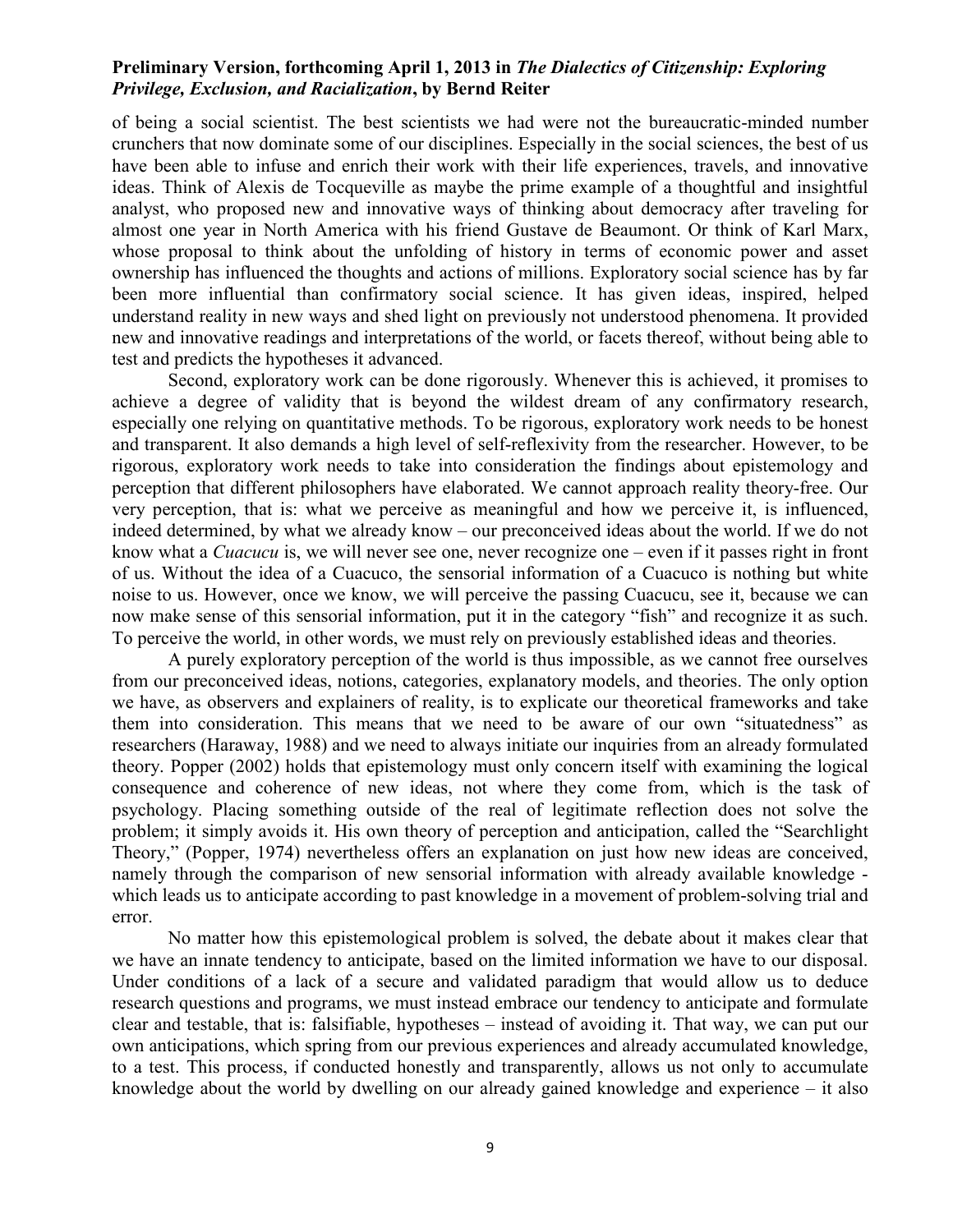of being a social scientist. The best scientists we had were not the bureaucratic-minded number crunchers that now dominate some of our disciplines. Especially in the social sciences, the best of us have been able to infuse and enrich their work with their life experiences, travels, and innovative ideas. Think of Alexis de Tocqueville as maybe the prime example of a thoughtful and insightful analyst, who proposed new and innovative ways of thinking about democracy after traveling for almost one year in North America with his friend Gustave de Beaumont. Or think of Karl Marx, whose proposal to think about the unfolding of history in terms of economic power and asset ownership has influenced the thoughts and actions of millions. Exploratory social science has by far been more influential than confirmatory social science. It has given ideas, inspired, helped understand reality in new ways and shed light on previously not understood phenomena. It provided new and innovative readings and interpretations of the world, or facets thereof, without being able to test and predicts the hypotheses it advanced.

Second, exploratory work can be done rigorously. Whenever this is achieved, it promises to achieve a degree of validity that is beyond the wildest dream of any confirmatory research, especially one relying on quantitative methods. To be rigorous, exploratory work needs to be honest and transparent. It also demands a high level of self-reflexivity from the researcher. However, to be rigorous, exploratory work needs to take into consideration the findings about epistemology and perception that different philosophers have elaborated. We cannot approach reality theory-free. Our very perception, that is: what we perceive as meaningful and how we perceive it, is influenced, indeed determined, by what we already know – our preconceived ideas about the world. If we do not know what a *Cuacucu* is, we will never see one, never recognize one – even if it passes right in front of us. Without the idea of a Cuacuco, the sensorial information of a Cuacuco is nothing but white noise to us. However, once we know, we will perceive the passing Cuacucu, see it, because we can now make sense of this sensorial information, put it in the category "fish" and recognize it as such. To perceive the world, in other words, we must rely on previously established ideas and theories.

A purely exploratory perception of the world is thus impossible, as we cannot free ourselves from our preconceived ideas, notions, categories, explanatory models, and theories. The only option we have, as observers and explainers of reality, is to explicate our theoretical frameworks and take them into consideration. This means that we need to be aware of our own "situatedness" as researchers (Haraway, 1988) and we need to always initiate our inquiries from an already formulated theory. Popper (2002) holds that epistemology must only concern itself with examining the logical consequence and coherence of new ideas, not where they come from, which is the task of psychology. Placing something outside of the real of legitimate reflection does not solve the problem; it simply avoids it. His own theory of perception and anticipation, called the "Searchlight Theory," (Popper, 1974) nevertheless offers an explanation on just how new ideas are conceived, namely through the comparison of new sensorial information with already available knowledge which leads us to anticipate according to past knowledge in a movement of problem-solving trial and error.

No matter how this epistemological problem is solved, the debate about it makes clear that we have an innate tendency to anticipate, based on the limited information we have to our disposal. Under conditions of a lack of a secure and validated paradigm that would allow us to deduce research questions and programs, we must instead embrace our tendency to anticipate and formulate clear and testable, that is: falsifiable, hypotheses – instead of avoiding it. That way, we can put our own anticipations, which spring from our previous experiences and already accumulated knowledge, to a test. This process, if conducted honestly and transparently, allows us not only to accumulate knowledge about the world by dwelling on our already gained knowledge and experience – it also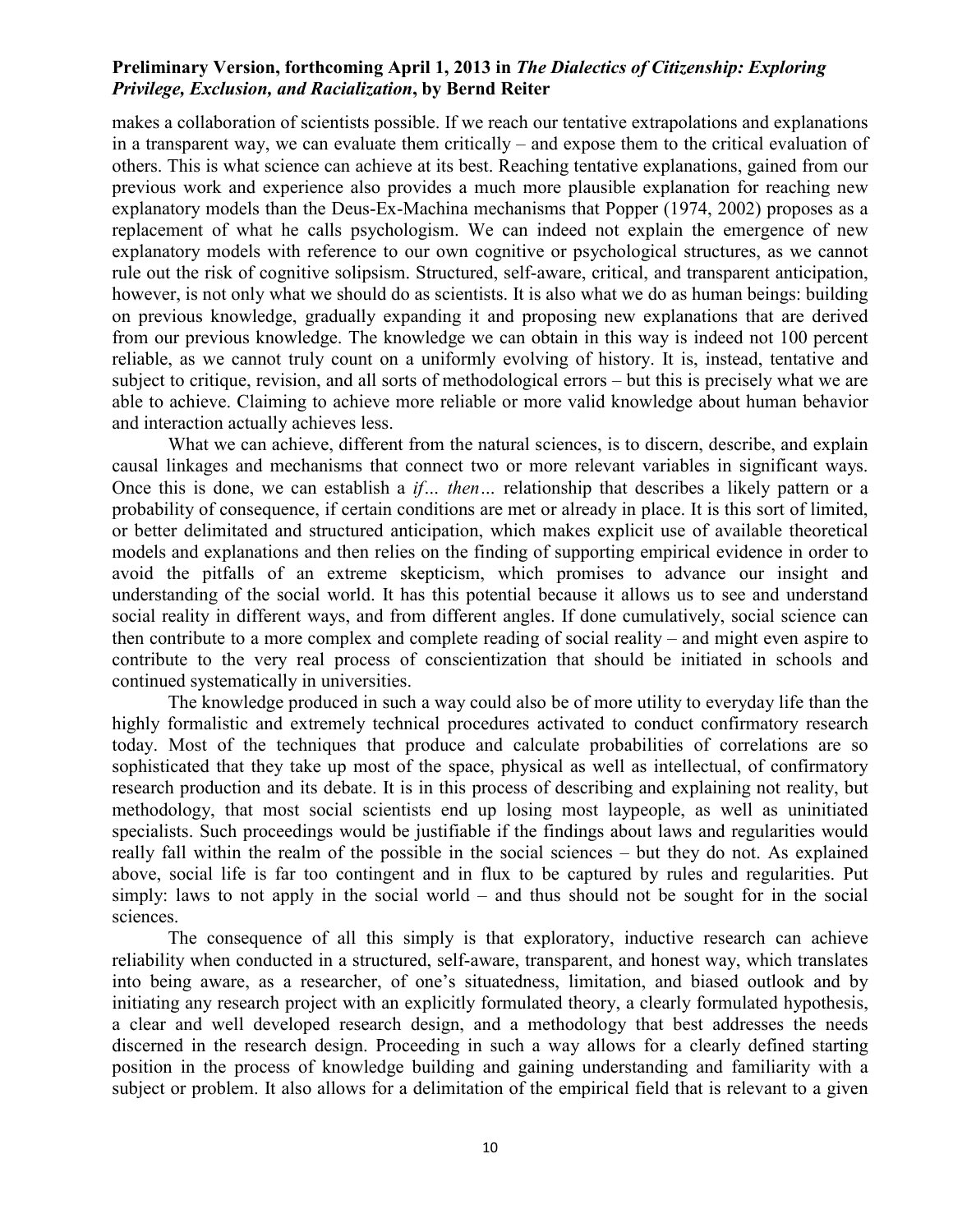makes a collaboration of scientists possible. If we reach our tentative extrapolations and explanations in a transparent way, we can evaluate them critically – and expose them to the critical evaluation of others. This is what science can achieve at its best. Reaching tentative explanations, gained from our previous work and experience also provides a much more plausible explanation for reaching new explanatory models than the Deus-Ex-Machina mechanisms that Popper (1974, 2002) proposes as a replacement of what he calls psychologism. We can indeed not explain the emergence of new explanatory models with reference to our own cognitive or psychological structures, as we cannot rule out the risk of cognitive solipsism. Structured, self-aware, critical, and transparent anticipation, however, is not only what we should do as scientists. It is also what we do as human beings: building on previous knowledge, gradually expanding it and proposing new explanations that are derived from our previous knowledge. The knowledge we can obtain in this way is indeed not 100 percent reliable, as we cannot truly count on a uniformly evolving of history. It is, instead, tentative and subject to critique, revision, and all sorts of methodological errors – but this is precisely what we are able to achieve. Claiming to achieve more reliable or more valid knowledge about human behavior and interaction actually achieves less.

What we can achieve, different from the natural sciences, is to discern, describe, and explain causal linkages and mechanisms that connect two or more relevant variables in significant ways. Once this is done, we can establish a *if… then…* relationship that describes a likely pattern or a probability of consequence, if certain conditions are met or already in place. It is this sort of limited, or better delimitated and structured anticipation, which makes explicit use of available theoretical models and explanations and then relies on the finding of supporting empirical evidence in order to avoid the pitfalls of an extreme skepticism, which promises to advance our insight and understanding of the social world. It has this potential because it allows us to see and understand social reality in different ways, and from different angles. If done cumulatively, social science can then contribute to a more complex and complete reading of social reality – and might even aspire to contribute to the very real process of conscientization that should be initiated in schools and continued systematically in universities.

The knowledge produced in such a way could also be of more utility to everyday life than the highly formalistic and extremely technical procedures activated to conduct confirmatory research today. Most of the techniques that produce and calculate probabilities of correlations are so sophisticated that they take up most of the space, physical as well as intellectual, of confirmatory research production and its debate. It is in this process of describing and explaining not reality, but methodology, that most social scientists end up losing most laypeople, as well as uninitiated specialists. Such proceedings would be justifiable if the findings about laws and regularities would really fall within the realm of the possible in the social sciences – but they do not. As explained above, social life is far too contingent and in flux to be captured by rules and regularities. Put simply: laws to not apply in the social world – and thus should not be sought for in the social sciences.

The consequence of all this simply is that exploratory, inductive research can achieve reliability when conducted in a structured, self-aware, transparent, and honest way, which translates into being aware, as a researcher, of one's situatedness, limitation, and biased outlook and by initiating any research project with an explicitly formulated theory, a clearly formulated hypothesis, a clear and well developed research design, and a methodology that best addresses the needs discerned in the research design. Proceeding in such a way allows for a clearly defined starting position in the process of knowledge building and gaining understanding and familiarity with a subject or problem. It also allows for a delimitation of the empirical field that is relevant to a given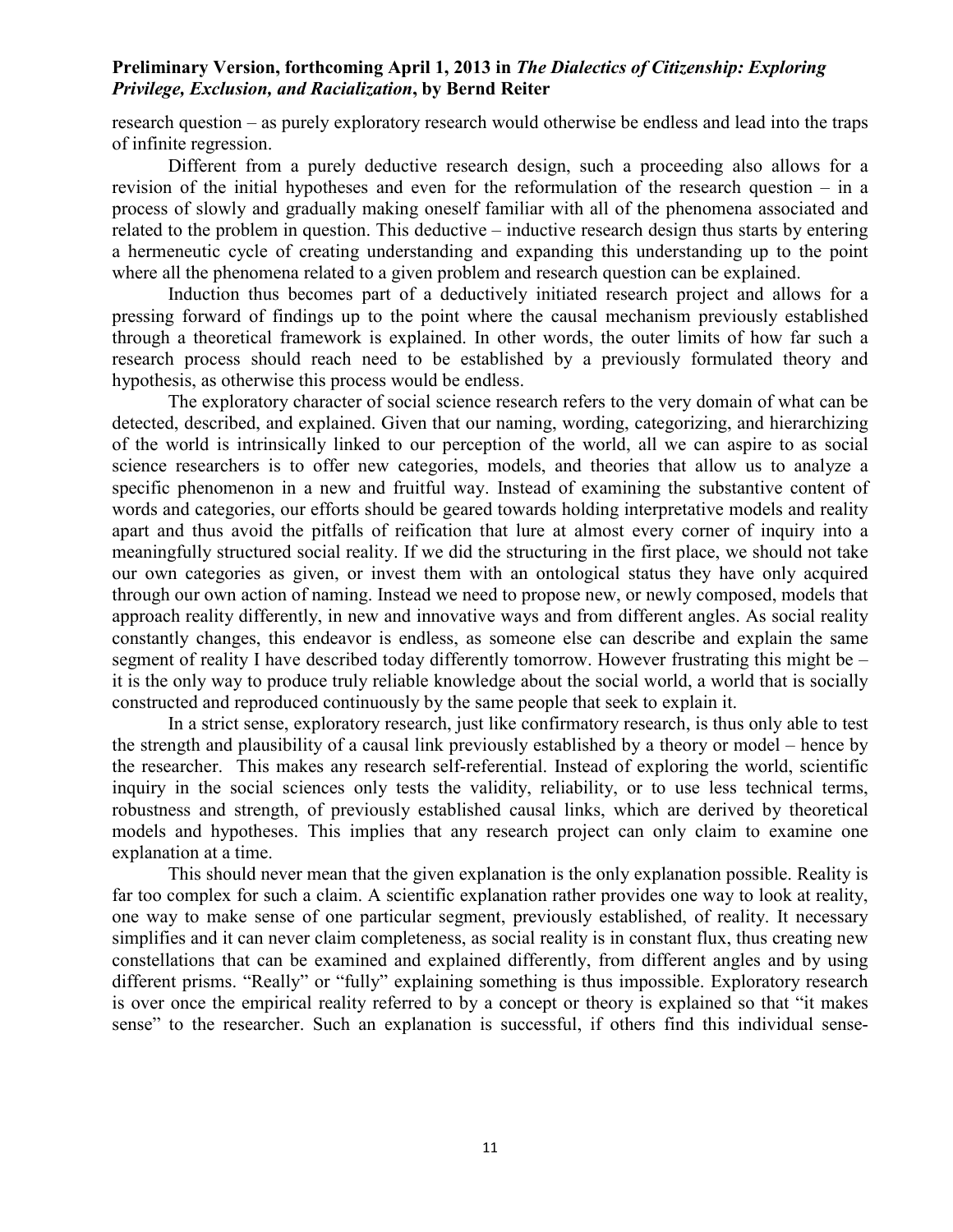research question – as purely exploratory research would otherwise be endless and lead into the traps of infinite regression.

Different from a purely deductive research design, such a proceeding also allows for a revision of the initial hypotheses and even for the reformulation of the research question – in a process of slowly and gradually making oneself familiar with all of the phenomena associated and related to the problem in question. This deductive – inductive research design thus starts by entering a hermeneutic cycle of creating understanding and expanding this understanding up to the point where all the phenomena related to a given problem and research question can be explained.

Induction thus becomes part of a deductively initiated research project and allows for a pressing forward of findings up to the point where the causal mechanism previously established through a theoretical framework is explained. In other words, the outer limits of how far such a research process should reach need to be established by a previously formulated theory and hypothesis, as otherwise this process would be endless.

The exploratory character of social science research refers to the very domain of what can be detected, described, and explained. Given that our naming, wording, categorizing, and hierarchizing of the world is intrinsically linked to our perception of the world, all we can aspire to as social science researchers is to offer new categories, models, and theories that allow us to analyze a specific phenomenon in a new and fruitful way. Instead of examining the substantive content of words and categories, our efforts should be geared towards holding interpretative models and reality apart and thus avoid the pitfalls of reification that lure at almost every corner of inquiry into a meaningfully structured social reality. If we did the structuring in the first place, we should not take our own categories as given, or invest them with an ontological status they have only acquired through our own action of naming. Instead we need to propose new, or newly composed, models that approach reality differently, in new and innovative ways and from different angles. As social reality constantly changes, this endeavor is endless, as someone else can describe and explain the same segment of reality I have described today differently tomorrow. However frustrating this might be – it is the only way to produce truly reliable knowledge about the social world, a world that is socially constructed and reproduced continuously by the same people that seek to explain it.

In a strict sense, exploratory research, just like confirmatory research, is thus only able to test the strength and plausibility of a causal link previously established by a theory or model – hence by the researcher. This makes any research self-referential. Instead of exploring the world, scientific inquiry in the social sciences only tests the validity, reliability, or to use less technical terms, robustness and strength, of previously established causal links, which are derived by theoretical models and hypotheses. This implies that any research project can only claim to examine one explanation at a time.

This should never mean that the given explanation is the only explanation possible. Reality is far too complex for such a claim. A scientific explanation rather provides one way to look at reality, one way to make sense of one particular segment, previously established, of reality. It necessary simplifies and it can never claim completeness, as social reality is in constant flux, thus creating new constellations that can be examined and explained differently, from different angles and by using different prisms. "Really" or "fully" explaining something is thus impossible. Exploratory research is over once the empirical reality referred to by a concept or theory is explained so that "it makes sense" to the researcher. Such an explanation is successful, if others find this individual sense-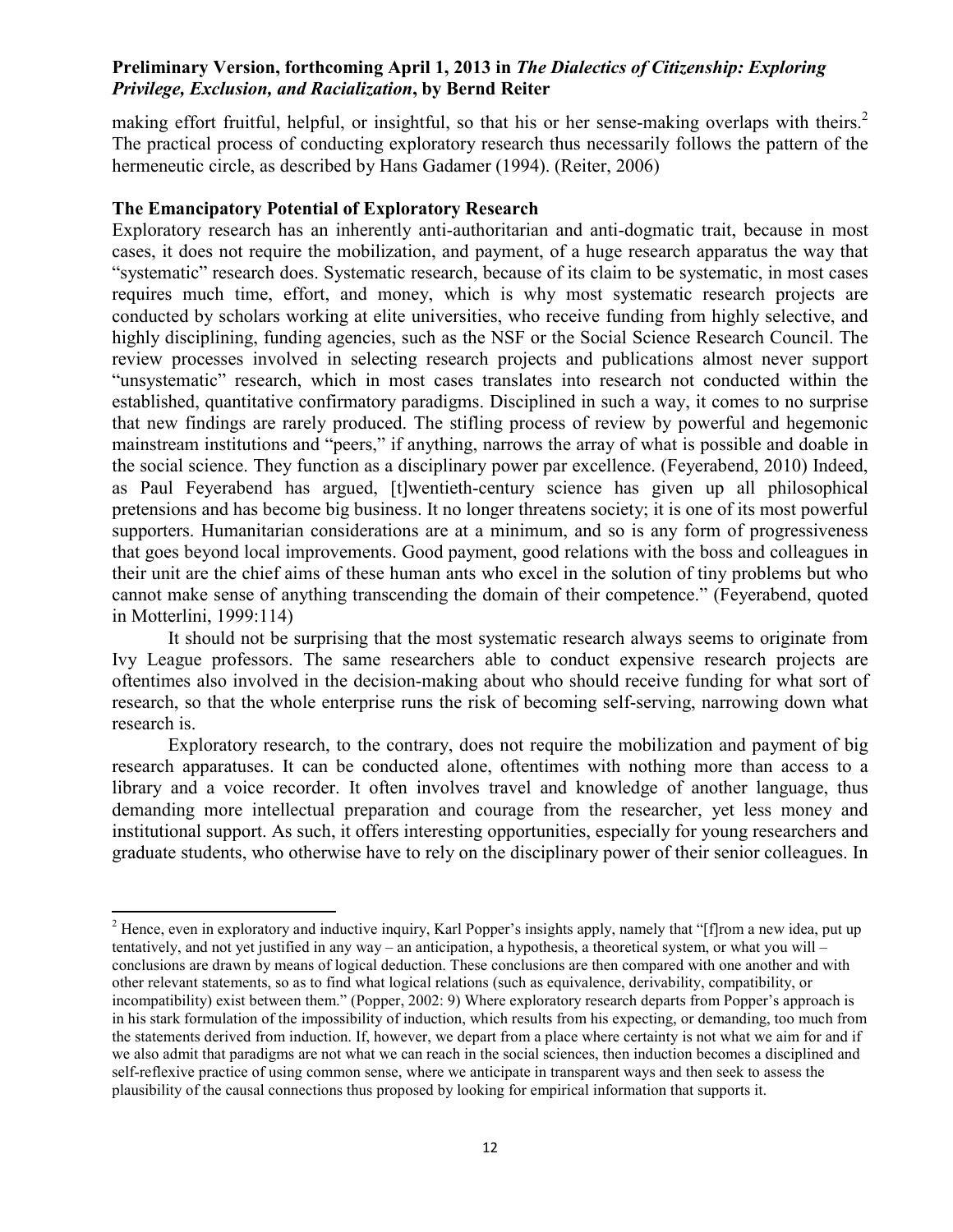making effort fruitful, helpful, or insightful, so that his or her sense-making overlaps with theirs.<sup>2</sup> The practical process of conducting exploratory research thus necessarily follows the pattern of the hermeneutic circle, as described by Hans Gadamer (1994). (Reiter, 2006)

## **The Emancipatory Potential of Exploratory Research**

l

Exploratory research has an inherently anti-authoritarian and anti-dogmatic trait, because in most cases, it does not require the mobilization, and payment, of a huge research apparatus the way that "systematic" research does. Systematic research, because of its claim to be systematic, in most cases requires much time, effort, and money, which is why most systematic research projects are conducted by scholars working at elite universities, who receive funding from highly selective, and highly disciplining, funding agencies, such as the NSF or the Social Science Research Council. The review processes involved in selecting research projects and publications almost never support "unsystematic" research, which in most cases translates into research not conducted within the established, quantitative confirmatory paradigms. Disciplined in such a way, it comes to no surprise that new findings are rarely produced. The stifling process of review by powerful and hegemonic mainstream institutions and "peers," if anything, narrows the array of what is possible and doable in the social science. They function as a disciplinary power par excellence. (Feyerabend, 2010) Indeed, as Paul Feyerabend has argued, [t]wentieth-century science has given up all philosophical pretensions and has become big business. It no longer threatens society; it is one of its most powerful supporters. Humanitarian considerations are at a minimum, and so is any form of progressiveness that goes beyond local improvements. Good payment, good relations with the boss and colleagues in their unit are the chief aims of these human ants who excel in the solution of tiny problems but who cannot make sense of anything transcending the domain of their competence." (Feyerabend, quoted in Motterlini, 1999:114)

 It should not be surprising that the most systematic research always seems to originate from Ivy League professors. The same researchers able to conduct expensive research projects are oftentimes also involved in the decision-making about who should receive funding for what sort of research, so that the whole enterprise runs the risk of becoming self-serving, narrowing down what research is.

Exploratory research, to the contrary, does not require the mobilization and payment of big research apparatuses. It can be conducted alone, oftentimes with nothing more than access to a library and a voice recorder. It often involves travel and knowledge of another language, thus demanding more intellectual preparation and courage from the researcher, yet less money and institutional support. As such, it offers interesting opportunities, especially for young researchers and graduate students, who otherwise have to rely on the disciplinary power of their senior colleagues. In

<sup>&</sup>lt;sup>2</sup> Hence, even in exploratory and inductive inquiry, Karl Popper's insights apply, namely that "[f]rom a new idea, put up tentatively, and not yet justified in any way – an anticipation, a hypothesis, a theoretical system, or what you will – conclusions are drawn by means of logical deduction. These conclusions are then compared with one another and with other relevant statements, so as to find what logical relations (such as equivalence, derivability, compatibility, or incompatibility) exist between them." (Popper, 2002: 9) Where exploratory research departs from Popper's approach is in his stark formulation of the impossibility of induction, which results from his expecting, or demanding, too much from the statements derived from induction. If, however, we depart from a place where certainty is not what we aim for and if we also admit that paradigms are not what we can reach in the social sciences, then induction becomes a disciplined and self-reflexive practice of using common sense, where we anticipate in transparent ways and then seek to assess the plausibility of the causal connections thus proposed by looking for empirical information that supports it.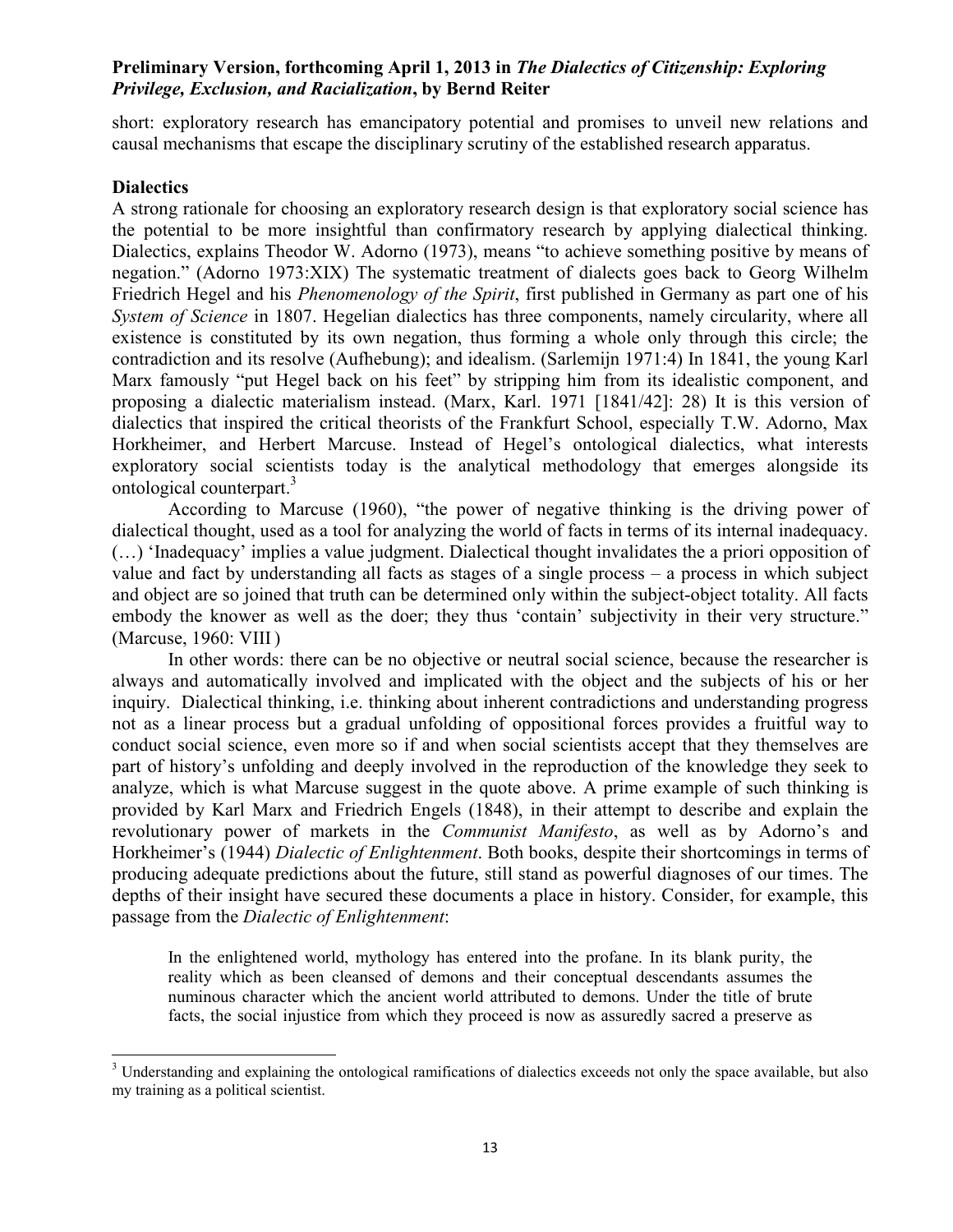short: exploratory research has emancipatory potential and promises to unveil new relations and causal mechanisms that escape the disciplinary scrutiny of the established research apparatus.

## **Dialectics**

l

A strong rationale for choosing an exploratory research design is that exploratory social science has the potential to be more insightful than confirmatory research by applying dialectical thinking. Dialectics, explains Theodor W. Adorno (1973), means "to achieve something positive by means of negation." (Adorno 1973:XIX) The systematic treatment of dialects goes back to Georg Wilhelm Friedrich Hegel and his *Phenomenology of the Spirit*, first published in Germany as part one of his *System of Science* in 1807. Hegelian dialectics has three components, namely circularity, where all existence is constituted by its own negation, thus forming a whole only through this circle; the contradiction and its resolve (Aufhebung); and idealism. (Sarlemijn 1971:4) In 1841, the young Karl Marx famously "put Hegel back on his feet" by stripping him from its idealistic component, and proposing a dialectic materialism instead. (Marx, Karl. 1971 [1841/42]: 28) It is this version of dialectics that inspired the critical theorists of the Frankfurt School, especially T.W. Adorno, Max Horkheimer, and Herbert Marcuse. Instead of Hegel's ontological dialectics, what interests exploratory social scientists today is the analytical methodology that emerges alongside its ontological counterpart.<sup>3</sup>

According to Marcuse (1960), "the power of negative thinking is the driving power of dialectical thought, used as a tool for analyzing the world of facts in terms of its internal inadequacy. (…) 'Inadequacy' implies a value judgment. Dialectical thought invalidates the a priori opposition of value and fact by understanding all facts as stages of a single process – a process in which subject and object are so joined that truth can be determined only within the subject-object totality. All facts embody the knower as well as the doer; they thus 'contain' subjectivity in their very structure." (Marcuse, 1960: VIII )

 In other words: there can be no objective or neutral social science, because the researcher is always and automatically involved and implicated with the object and the subjects of his or her inquiry. Dialectical thinking, i.e. thinking about inherent contradictions and understanding progress not as a linear process but a gradual unfolding of oppositional forces provides a fruitful way to conduct social science, even more so if and when social scientists accept that they themselves are part of history's unfolding and deeply involved in the reproduction of the knowledge they seek to analyze, which is what Marcuse suggest in the quote above. A prime example of such thinking is provided by Karl Marx and Friedrich Engels (1848), in their attempt to describe and explain the revolutionary power of markets in the *Communist Manifesto*, as well as by Adorno's and Horkheimer's (1944) *Dialectic of Enlightenment*. Both books, despite their shortcomings in terms of producing adequate predictions about the future, still stand as powerful diagnoses of our times. The depths of their insight have secured these documents a place in history. Consider, for example, this passage from the *Dialectic of Enlightenment*:

In the enlightened world, mythology has entered into the profane. In its blank purity, the reality which as been cleansed of demons and their conceptual descendants assumes the numinous character which the ancient world attributed to demons. Under the title of brute facts, the social injustice from which they proceed is now as assuredly sacred a preserve as

 $3$  Understanding and explaining the ontological ramifications of dialectics exceeds not only the space available, but also my training as a political scientist.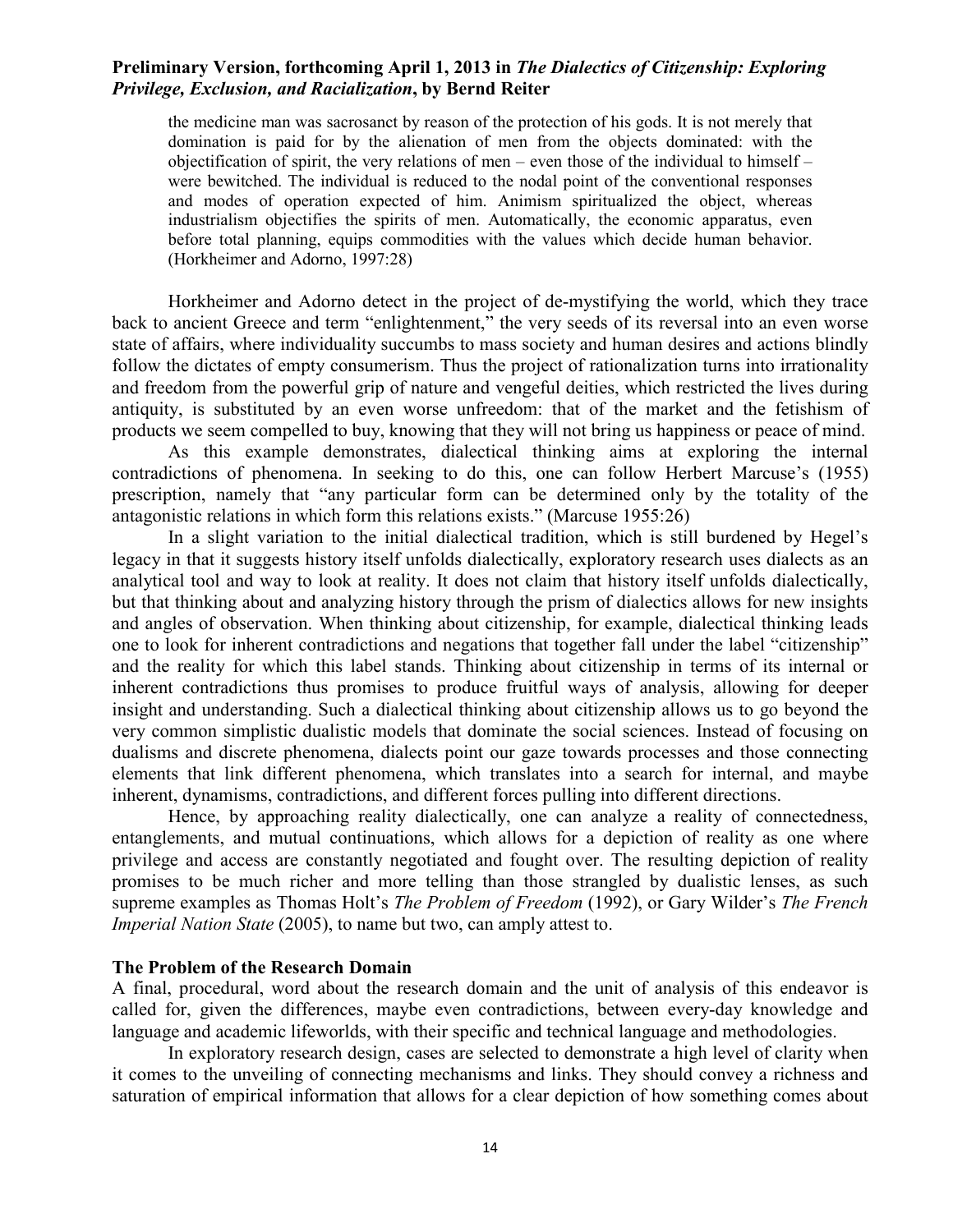the medicine man was sacrosanct by reason of the protection of his gods. It is not merely that domination is paid for by the alienation of men from the objects dominated: with the objectification of spirit, the very relations of men – even those of the individual to himself – were bewitched. The individual is reduced to the nodal point of the conventional responses and modes of operation expected of him. Animism spiritualized the object, whereas industrialism objectifies the spirits of men. Automatically, the economic apparatus, even before total planning, equips commodities with the values which decide human behavior. (Horkheimer and Adorno, 1997:28)

Horkheimer and Adorno detect in the project of de-mystifying the world, which they trace back to ancient Greece and term "enlightenment," the very seeds of its reversal into an even worse state of affairs, where individuality succumbs to mass society and human desires and actions blindly follow the dictates of empty consumerism. Thus the project of rationalization turns into irrationality and freedom from the powerful grip of nature and vengeful deities, which restricted the lives during antiquity, is substituted by an even worse unfreedom: that of the market and the fetishism of products we seem compelled to buy, knowing that they will not bring us happiness or peace of mind.

As this example demonstrates, dialectical thinking aims at exploring the internal contradictions of phenomena. In seeking to do this, one can follow Herbert Marcuse's (1955) prescription, namely that "any particular form can be determined only by the totality of the antagonistic relations in which form this relations exists." (Marcuse 1955:26)

In a slight variation to the initial dialectical tradition, which is still burdened by Hegel's legacy in that it suggests history itself unfolds dialectically, exploratory research uses dialects as an analytical tool and way to look at reality. It does not claim that history itself unfolds dialectically, but that thinking about and analyzing history through the prism of dialectics allows for new insights and angles of observation. When thinking about citizenship, for example, dialectical thinking leads one to look for inherent contradictions and negations that together fall under the label "citizenship" and the reality for which this label stands. Thinking about citizenship in terms of its internal or inherent contradictions thus promises to produce fruitful ways of analysis, allowing for deeper insight and understanding. Such a dialectical thinking about citizenship allows us to go beyond the very common simplistic dualistic models that dominate the social sciences. Instead of focusing on dualisms and discrete phenomena, dialects point our gaze towards processes and those connecting elements that link different phenomena, which translates into a search for internal, and maybe inherent, dynamisms, contradictions, and different forces pulling into different directions.

Hence, by approaching reality dialectically, one can analyze a reality of connectedness, entanglements, and mutual continuations, which allows for a depiction of reality as one where privilege and access are constantly negotiated and fought over. The resulting depiction of reality promises to be much richer and more telling than those strangled by dualistic lenses, as such supreme examples as Thomas Holt's *The Problem of Freedom* (1992), or Gary Wilder's *The French Imperial Nation State* (2005), to name but two, can amply attest to.

#### **The Problem of the Research Domain**

A final, procedural, word about the research domain and the unit of analysis of this endeavor is called for, given the differences, maybe even contradictions, between every-day knowledge and language and academic lifeworlds, with their specific and technical language and methodologies.

 In exploratory research design, cases are selected to demonstrate a high level of clarity when it comes to the unveiling of connecting mechanisms and links. They should convey a richness and saturation of empirical information that allows for a clear depiction of how something comes about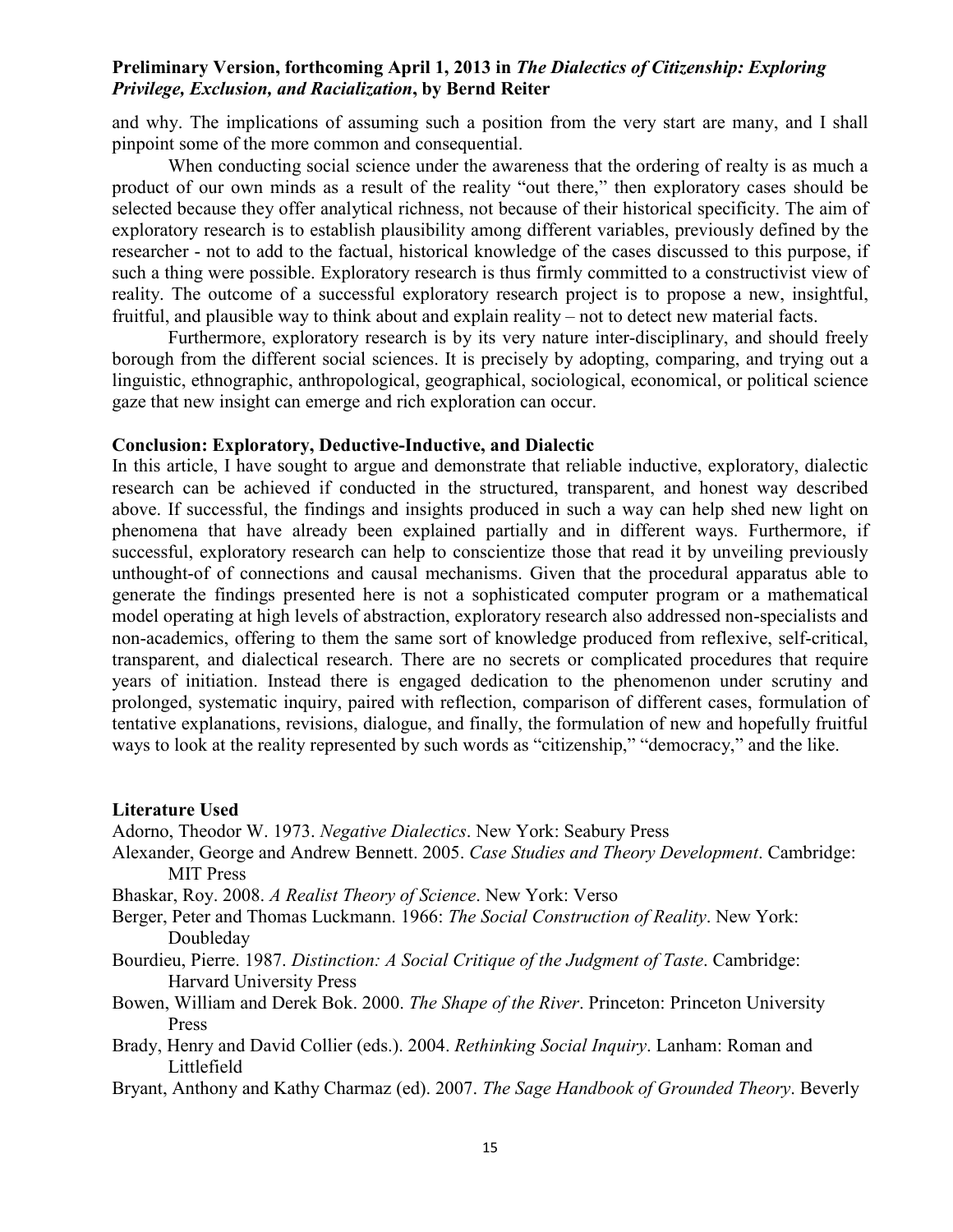and why. The implications of assuming such a position from the very start are many, and I shall pinpoint some of the more common and consequential.

 When conducting social science under the awareness that the ordering of realty is as much a product of our own minds as a result of the reality "out there," then exploratory cases should be selected because they offer analytical richness, not because of their historical specificity. The aim of exploratory research is to establish plausibility among different variables, previously defined by the researcher - not to add to the factual, historical knowledge of the cases discussed to this purpose, if such a thing were possible. Exploratory research is thus firmly committed to a constructivist view of reality. The outcome of a successful exploratory research project is to propose a new, insightful, fruitful, and plausible way to think about and explain reality – not to detect new material facts.

 Furthermore, exploratory research is by its very nature inter-disciplinary, and should freely borough from the different social sciences. It is precisely by adopting, comparing, and trying out a linguistic, ethnographic, anthropological, geographical, sociological, economical, or political science gaze that new insight can emerge and rich exploration can occur.

## **Conclusion: Exploratory, Deductive-Inductive, and Dialectic**

In this article, I have sought to argue and demonstrate that reliable inductive, exploratory, dialectic research can be achieved if conducted in the structured, transparent, and honest way described above. If successful, the findings and insights produced in such a way can help shed new light on phenomena that have already been explained partially and in different ways. Furthermore, if successful, exploratory research can help to conscientize those that read it by unveiling previously unthought-of of connections and causal mechanisms. Given that the procedural apparatus able to generate the findings presented here is not a sophisticated computer program or a mathematical model operating at high levels of abstraction, exploratory research also addressed non-specialists and non-academics, offering to them the same sort of knowledge produced from reflexive, self-critical, transparent, and dialectical research. There are no secrets or complicated procedures that require years of initiation. Instead there is engaged dedication to the phenomenon under scrutiny and prolonged, systematic inquiry, paired with reflection, comparison of different cases, formulation of tentative explanations, revisions, dialogue, and finally, the formulation of new and hopefully fruitful ways to look at the reality represented by such words as "citizenship," "democracy," and the like.

#### **Literature Used**

Adorno, Theodor W. 1973. *Negative Dialectics*. New York: Seabury Press

- Alexander, George and Andrew Bennett. 2005. *Case Studies and Theory Development*. Cambridge: MIT Press
- Bhaskar, Roy. 2008. *A Realist Theory of Science*. New York: Verso
- Berger, Peter and Thomas Luckmann. 1966: *The Social Construction of Reality*. New York: Doubleday
- Bourdieu, Pierre. 1987. *Distinction: A Social Critique of the Judgment of Taste*. Cambridge: Harvard University Press
- Bowen, William and Derek Bok. 2000. *The Shape of the River*. Princeton: Princeton University Press
- Brady, Henry and David Collier (eds.). 2004. *Rethinking Social Inquiry*. Lanham: Roman and Littlefield
- Bryant, Anthony and Kathy Charmaz (ed). 2007. *The Sage Handbook of Grounded Theory*. Beverly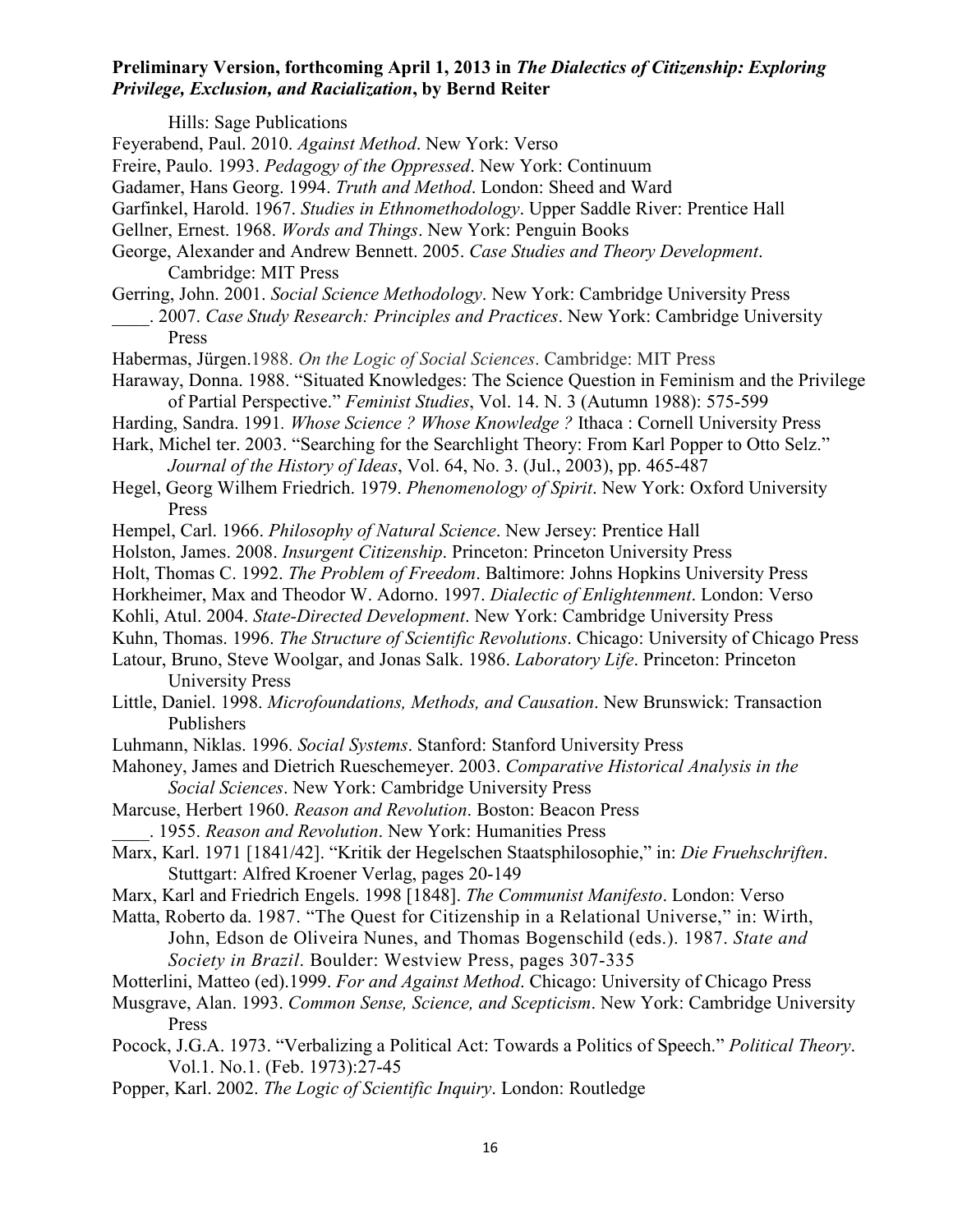Hills: Sage Publications Feyerabend, Paul. 2010. *Against Method*. New York: Verso Freire, Paulo. 1993. *Pedagogy of the Oppressed*. New York: Continuum Gadamer, Hans Georg. 1994. *Truth and Method*. London: Sheed and Ward Garfinkel, Harold. 1967. *Studies in Ethnomethodology*. Upper Saddle River: Prentice Hall Gellner, Ernest. 1968. *Words and Things*. New York: Penguin Books George, Alexander and Andrew Bennett. 2005. *Case Studies and Theory Development*. Cambridge: MIT Press Gerring, John. 2001. *Social Science Methodology*. New York: Cambridge University Press \_\_\_\_. 2007. *Case Study Research: Principles and Practices*. New York: Cambridge University Press Habermas, Jürgen.1988. *On the Logic of Social Sciences*. Cambridge: MIT Press Haraway, Donna. 1988. "Situated Knowledges: The Science Question in Feminism and the Privilege of Partial Perspective." *Feminist Studies*, Vol. 14. N. 3 (Autumn 1988): 575-599 Harding, Sandra. 1991*. Whose Science ? Whose Knowledge ?* Ithaca : Cornell University Press Hark, Michel ter. 2003. "Searching for the Searchlight Theory: From Karl Popper to Otto Selz." *Journal of the History of Ideas*, Vol. 64, No. 3. (Jul., 2003), pp. 465-487 Hegel, Georg Wilhem Friedrich. 1979. *Phenomenology of Spirit*. New York: Oxford University Press Hempel, Carl. 1966. *Philosophy of Natural Science*. New Jersey: Prentice Hall Holston, James. 2008. *Insurgent Citizenship*. Princeton: Princeton University Press Holt, Thomas C. 1992. *The Problem of Freedom*. Baltimore: Johns Hopkins University Press Horkheimer, Max and Theodor W. Adorno. 1997. *Dialectic of Enlightenment*. London: Verso Kohli, Atul. 2004. *State-Directed Development*. New York: Cambridge University Press Kuhn, Thomas. 1996. *The Structure of Scientific Revolutions*. Chicago: University of Chicago Press Latour, Bruno, Steve Woolgar, and Jonas Salk. 1986. *Laboratory Life*. Princeton: Princeton University Press

- Little, Daniel. 1998. *Microfoundations, Methods, and Causation*. New Brunswick: Transaction Publishers
- Luhmann, Niklas. 1996. *Social Systems*. Stanford: Stanford University Press
- Mahoney, James and Dietrich Rueschemeyer. 2003. *Comparative Historical Analysis in the Social Sciences*. New York: Cambridge University Press
- Marcuse, Herbert 1960. *Reason and Revolution*. Boston: Beacon Press \_\_\_\_. 1955. *Reason and Revolution*. New York: Humanities Press
- Marx, Karl. 1971 [1841/42]. "Kritik der Hegelschen Staatsphilosophie," in: *Die Fruehschriften*. Stuttgart: Alfred Kroener Verlag, pages 20-149
- Marx, Karl and Friedrich Engels. 1998 [1848]. *The Communist Manifesto*. London: Verso

Matta, Roberto da. 1987. "The Quest for Citizenship in a Relational Universe," in: Wirth, John, Edson de Oliveira Nunes, and Thomas Bogenschild (eds.). 1987. *State and Society in Brazil*. Boulder: Westview Press, pages 307-335

- Motterlini, Matteo (ed).1999. *For and Against Method*. Chicago: University of Chicago Press
- Musgrave, Alan. 1993. *Common Sense, Science, and Scepticism*. New York: Cambridge University Press
- Pocock, J.G.A. 1973. "Verbalizing a Political Act: Towards a Politics of Speech." *Political Theory*. Vol.1. No.1. (Feb. 1973):27-45
- Popper, Karl. 2002. *The Logic of Scientific Inquiry*. London: Routledge